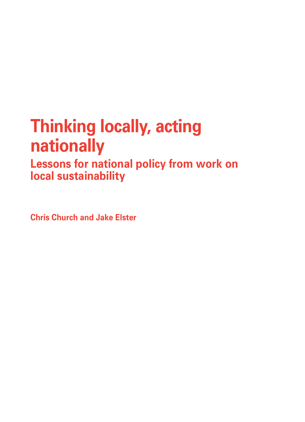# **Thinking locally, acting nationally**

**Lessons for national policy from work on local sustainability**

**Chris Church and Jake Elster**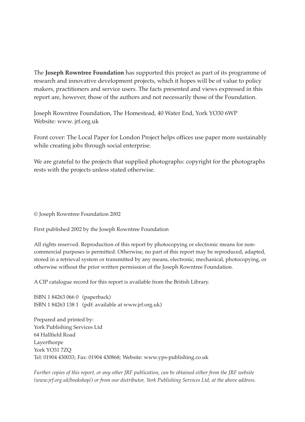The **Joseph Rowntree Foundation** has supported this project as part of its programme of research and innovative development projects, which it hopes will be of value to policy makers, practitioners and service users. The facts presented and views expressed in this report are, however, those of the authors and not necessarily those of the Foundation.

Joseph Rowntree Foundation, The Homestead, 40 Water End, York YO30 6WP Website: www. jrf.org.uk

Front cover: The Local Paper for London Project helps offices use paper more sustainably while creating jobs through social enterprise.

We are grateful to the projects that supplied photographs: copyright for the photographs rests with the projects unless stated otherwise.

© Joseph Rowntree Foundation 2002

First published 2002 by the Joseph Rowntree Foundation

All rights reserved. Reproduction of this report by photocopying or electronic means for noncommercial purposes is permitted. Otherwise, no part of this report may be reproduced, adapted, stored in a retrieval system or transmitted by any means, electronic, mechanical, photocopying, or otherwise without the prior written permission of the Joseph Rowntree Foundation.

A CIP catalogue record for this report is available from the British Library.

ISBN 1 84263 066 0 (paperback) ISBN 1 84263 138 1 (pdf: available at www.jrf.org.uk)

Prepared and printed by: York Publishing Services Ltd 64 Hallfield Road Layerthorpe York YO31 7ZQ Tel: 01904 430033; Fax: 01904 430868; Website: www.yps-publishing.co.uk

*Further copies of this report, or any other JRF publication, can be obtained either from the JRF website (www.jrf.org.uk/bookshop/) or from our distributor, York Publishing Services Ltd, at the above address.*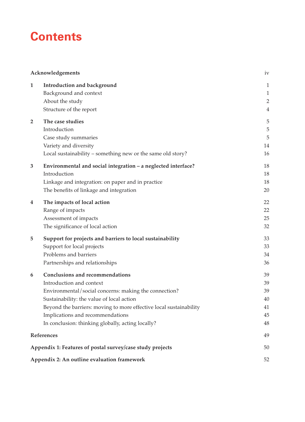## **Contents**

|                | Acknowledgements                                                   | iv             |
|----------------|--------------------------------------------------------------------|----------------|
| 1              | Introduction and background                                        | $\mathbf{1}$   |
|                | Background and context                                             | $\mathbf{1}$   |
|                | About the study                                                    | $\overline{2}$ |
|                | Structure of the report                                            | $\overline{4}$ |
| $\overline{2}$ | The case studies                                                   | 5              |
|                | Introduction                                                       | $\mathbf 5$    |
|                | Case study summaries                                               | 5              |
|                | Variety and diversity                                              | 14             |
|                | Local sustainability - something new or the same old story?        | 16             |
| 3              | Environmental and social integration - a neglected interface?      | 18             |
|                | Introduction                                                       | 18             |
|                | Linkage and integration: on paper and in practice                  | 18             |
|                | The benefits of linkage and integration                            | 20             |
| 4              | The impacts of local action                                        | 22             |
|                | Range of impacts                                                   | 22             |
|                | Assessment of impacts                                              | 25             |
|                | The significance of local action                                   | 32             |
| 5              | Support for projects and barriers to local sustainability          | 33             |
|                | Support for local projects                                         | 33             |
|                | Problems and barriers                                              | 34             |
|                | Partnerships and relationships                                     | 36             |
| 6              | <b>Conclusions and recommendations</b>                             | 39             |
|                | Introduction and context                                           | 39             |
|                | Environmental/social concerns: making the connection?              | 39             |
|                | Sustainability: the value of local action                          | 40             |
|                | Beyond the barriers: moving to more effective local sustainability | 41             |
|                | Implications and recommendations                                   | 45             |
|                | In conclusion: thinking globally, acting locally?                  | 48             |
|                | References                                                         | 49             |
|                | Appendix 1: Features of postal survey/case study projects          | 50             |
|                | Appendix 2: An outline evaluation framework                        | 52             |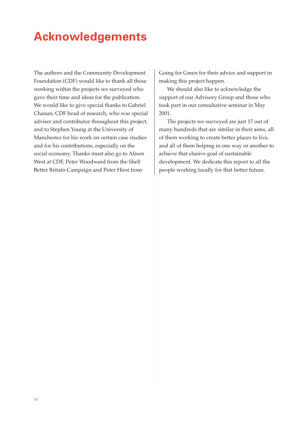## **Acknowledgements**

The authors and the Community Development Foundation (CDF) would like to thank all those working within the projects we surveyed who gave their time and ideas for the publication. We would like to give special thanks to Gabriel Chanan, CDF head of research, who was special adviser and contributor throughout this project, and to Stephen Young at the University of Manchester for his work on certain case studies and for his contributions, especially on the social economy. Thanks must also go to Alison West at CDF, Peter Woodward from the Shell Better Britain Campaign and Peter Hirst from

Going for Green for their advice and support in making this project happen.

We should also like to acknowledge the support of our Advisory Group and those who took part in our consultative seminar in May 2001.

The projects we surveyed are just 17 out of many hundreds that are similar in their aims, all of them working to create better places to live, and all of them helping in one way or another to achieve that elusive goal of sustainable development. We dedicate this report to all the people working locally for that better future.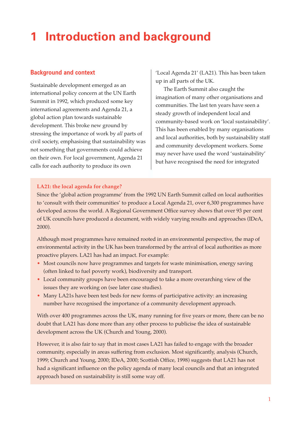## **1 Introduction and background**

## **Background and context**

Sustainable development emerged as an international policy concern at the UN Earth Summit in 1992, which produced some key international agreements and Agenda 21, a global action plan towards sustainable development. This broke new ground by stressing the importance of work by *all* parts of civil society, emphasising that sustainability was not something that governments could achieve on their own. For local government, Agenda 21 calls for each authority to produce its own

'Local Agenda 21' (LA21). This has been taken up in all parts of the UK.

The Earth Summit also caught the imagination of many other organisations and communities. The last ten years have seen a steady growth of independent local and community-based work on 'local sustainability'. This has been enabled by many organisations and local authorities, both by sustainability staff and community development workers. Some may never have used the word 'sustainability' but have recognised the need for integrated

## **LA21: the local agenda for change?**

Since the 'global action programme' from the 1992 UN Earth Summit called on local authorities to 'consult with their communities' to produce a Local Agenda 21, over 6,300 programmes have developed across the world. A Regional Government Office survey shows that over 93 per cent of UK councils have produced a document, with widely varying results and approaches (IDeA, 2000).

Although most programmes have remained rooted in an environmental perspective, the map of environmental activity in the UK has been transformed by the arrival of local authorities as more proactive players. LA21 has had an impact. For example:

- Most councils now have programmes and targets for waste minimisation, energy saving (often linked to fuel poverty work), biodiversity and transport.
- Local community groups have been encouraged to take a more overarching view of the issues they are working on (see later case studies).
- Many LA21s have been test beds for new forms of participative activity: an increasing number have recognised the importance of a community development approach.

With over 400 programmes across the UK, many running for five years or more, there can be no doubt that LA21 has done more than any other process to publicise the idea of sustainable development across the UK (Church and Young, 2000).

However, it is also fair to say that in most cases LA21 has failed to engage with the broader community, especially in areas suffering from exclusion. Most significantly, analysis (Church, 1999; Church and Young, 2000; IDeA, 2000; Scottish Office, 1998) suggests that LA21 has not had a significant influence on the policy agenda of many local councils and that an integrated approach based on sustainability is still some way off.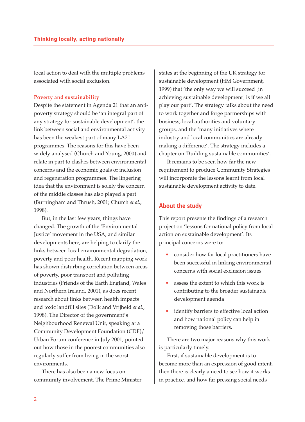local action to deal with the multiple problems associated with social exclusion.

#### **Poverty and sustainability**

Despite the statement in Agenda 21 that an antipoverty strategy should be 'an integral part of any strategy for sustainable development'*,* the link between social and environmental activity has been the weakest part of many LA21 programmes. The reasons for this have been widely analysed (Church and Young, 2000) and relate in part to clashes between environmental concerns and the economic goals of inclusion and regeneration programmes. The lingering idea that the environment is solely the concern of the middle classes has also played a part (Burningham and Thrush, 2001; Church *et al.*, 1998).

But, in the last few years, things have changed. The growth of the 'Environmental Justice' movement in the USA, and similar developments here, are helping to clarify the links between local environmental degradation, poverty and poor health. Recent mapping work has shown disturbing correlation between areas of poverty, poor transport and polluting industries (Friends of the Earth England, Wales and Northern Ireland, 2001), as does recent research about links between health impacts and toxic landfill sites (Dolk and Vrijheid *et al*., 1998). The Director of the government's Neighbourhood Renewal Unit, speaking at a Community Development Foundation (CDF)/ Urban Forum conference in July 2001, pointed out how those in the poorest communities also regularly suffer from living in the worst environments.

There has also been a new focus on community involvement. The Prime Minister states at the beginning of the UK strategy for sustainable development (HM Government, 1999) that 'the only way we will succeed [in achieving sustainable development] is if we all play our part'. The strategy talks about the need to work together and forge partnerships with business, local authorities and voluntary groups, and the 'many initiatives where industry and local communities are already making a difference'. The strategy includes a chapter on 'Building sustainable communities'.

It remains to be seen how far the new requirement to produce Community Strategies will incorporate the lessons learnt from local sustainable development activity to date.

## **About the study**

This report presents the findings of a research project on 'lessons for national policy from local action on sustainable development'. Its principal concerns were to:

- consider how far local practitioners have been successful in linking environmental concerns with social exclusion issues
- assess the extent to which this work is contributing to the broader sustainable development agenda
- identify barriers to effective local action and how national policy can help in removing those barriers.

There are two major reasons why this work is particularly timely.

First, if sustainable development is to become more than an expression of good intent, then there is clearly a need to see how it works in practice, and how far pressing social needs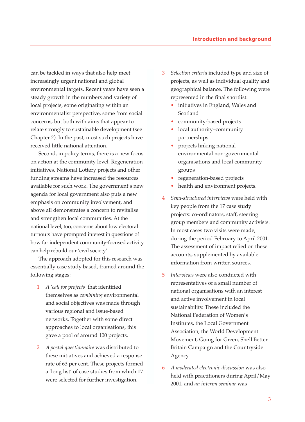can be tackled in ways that also help meet increasingly urgent national and global environmental targets. Recent years have seen a steady growth in the numbers and variety of local projects, some originating within an environmentalist perspective, some from social concerns, but both with aims that appear to relate strongly to sustainable development (see Chapter 2). In the past, most such projects have received little national attention.

Second, in policy terms, there is a new focus on action at the community level. Regeneration initiatives, National Lottery projects and other funding streams have increased the resources available for such work. The government's new agenda for local government also puts a new emphasis on community involvement, and above all demonstrates a concern to revitalise and strengthen local communities. At the national level, too, concerns about low electoral turnouts have prompted interest in questions of how far independent community-focused activity can help rebuild our 'civil society'.

The approach adopted for this research was essentially case study based, framed around the following stages:

- 1 *A 'call for projects'* that identified themselves as *combining* environmental and social objectives was made through various regional and issue-based networks. Together with some direct approaches to local organisations, this gave a pool of around 100 projects.
- 2 *A postal questionnaire* was distributed to these initiatives and achieved a response rate of 63 per cent. These projects formed a 'long list' of case studies from which 17 were selected for further investigation.
- 3 *Selection criteria* included type and size of projects, as well as individual quality and geographical balance. The following were represented in the final shortlist:
	- initiatives in England, Wales and Scotland
	- community-based projects
	- local authority-community partnerships
	- projects linking national environmental non-governmental organisations and local community groups
	- regeneration-based projects
	- health and environment projects.
- 4 *Semi-structured interviews* were held with key people from the 17 case study projects: co-ordinators, staff, steering group members and community activists. In most cases two visits were made, during the period February to April 2001. The assessment of impact relied on these accounts, supplemented by available information from written sources.
- 5 *Interviews* were also conducted with representatives of a small number of national organisations with an interest and active involvement in local sustainability. These included the National Federation of Women's Institutes, the Local Government Association, the World Development Movement, Going for Green, Shell Better Britain Campaign and the Countryside Agency.
- 6 *A moderated electronic discussion* was also held with practitioners during April/May 2001, and *an interim seminar* was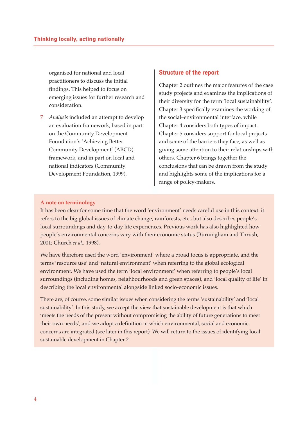organised for national and local practitioners to discuss the initial findings. This helped to focus on emerging issues for further research and consideration.

7 *Analysis* included an attempt to develop an evaluation framework, based in part on the Community Development Foundation's 'Achieving Better Community Development' (ABCD) framework, and in part on local and national indicators (Community Development Foundation, 1999).

### **Structure of the report**

Chapter 2 outlines the major features of the case study projects and examines the implications of their diversity for the term 'local sustainability'. Chapter 3 specifically examines the working of the social–environmental interface, while Chapter 4 considers both types of impact. Chapter 5 considers support for local projects and some of the barriers they face, as well as giving some attention to their relationships with others. Chapter 6 brings together the conclusions that can be drawn from the study and highlights some of the implications for a range of policy-makers.

### **A note on terminology**

It has been clear for some time that the word 'environment' needs careful use in this context: it refers to the big global issues of climate change, rainforests, etc., but also describes people's local surroundings and day-to-day life experiences. Previous work has also highlighted how people's environmental concerns vary with their economic status (Burningham and Thrush, 2001; Church *et al.*, 1998).

We have therefore used the word 'environment' where a broad focus is appropriate, and the terms 'resource use' and 'natural environment' when referring to the global ecological environment. We have used the term 'local environment' when referring to people's local surroundings (including homes, neighbourhoods and green spaces), and 'local quality of life' in describing the local environmental alongside linked socio-economic issues.

There are, of course, some similar issues when considering the terms 'sustainability' and 'local sustainability'. In this study, we accept the view that sustainable development is that which 'meets the needs of the present without compromising the ability of future generations to meet their own needs', and we adopt a definition in which environmental, social and economic concerns are integrated (see later in this report). We will return to the issues of identifying local sustainable development in Chapter 2.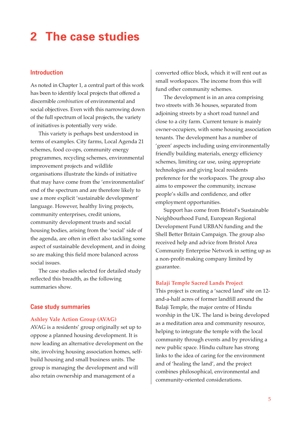## **2 The case studies**

## **Introduction**

As noted in Chapter 1, a central part of this work has been to identify local projects that offered a discernible *combination* of environmental and social objectives. Even with this narrowing down of the full spectrum of local projects, the variety of initiatives is potentially very wide.

This variety is perhaps best understood in terms of examples. City farms, Local Agenda 21 schemes, food co-ops, community energy programmes, recycling schemes, environmental improvement projects and wildlife organisations illustrate the kinds of initiative that may have come from the 'environmentalist' end of the spectrum and are therefore likely to use a more explicit 'sustainable development' language. However, healthy living projects, community enterprises, credit unions, community development trusts and social housing bodies, arising from the 'social' side of the agenda, are often in effect also tackling some aspect of sustainable development, and in doing so are making this field more balanced across social issues.

The case studies selected for detailed study reflected this breadth, as the following summaries show.

## **Case study summaries**

#### **Ashley Vale Action Group (AVAG)**

AVAG is a residents' group originally set up to oppose a planned housing development. It is now leading an alternative development on the site, involving housing association homes, selfbuild housing and small business units. The group is managing the development and will also retain ownership and management of a

converted office block, which it will rent out as small workspaces. The income from this will fund other community schemes.

The development is in an area comprising two streets with 36 houses, separated from adjoining streets by a short road tunnel and close to a city farm. Current tenure is mainly owner-occupiers, with some housing association tenants. The development has a number of 'green' aspects including using environmentally friendly building materials, energy efficiency schemes, limiting car use, using appropriate technologies and giving local residents preference for the workspaces. The group also aims to empower the community, increase people's skills and confidence, and offer employment opportunities.

Support has come from Bristol's Sustainable Neighbourhood Fund, European Regional Development Fund URBAN funding and the Shell Better Britain Campaign. The group also received help and advice from Bristol Area Community Enterprise Network in setting up as a non-profit-making company limited by guarantee.

#### **Balaji Temple Sacred Lands Project**

This project is creating a 'sacred land' site on 12 and-a-half acres of former landfill around the Balaji Temple, the major centre of Hindu worship in the UK. The land is being developed as a meditation area and community resource, helping to integrate the temple with the local community through events and by providing a new public space. Hindu culture has strong links to the idea of caring for the environment and of 'healing the land', and the project combines philosophical, environmental and community-oriented considerations.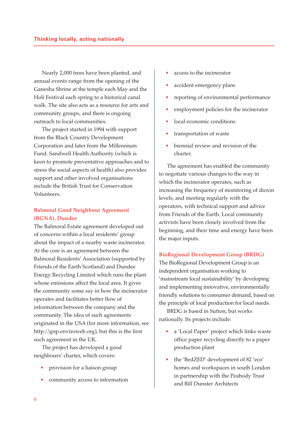Nearly 2,000 trees have been planted, and annual events range from the opening of the Ganesha Shrine at the temple each May and the Holi Festival each spring to a historical canal walk. The site also acts as a resource for arts and community groups, and there is ongoing outreach to local communities.

The project started in 1994 with support from the Black Country Development Corporation and later from the Millennium Fund. Sandwell Health Authority (which is keen to promote preventative approaches and to stress the social aspects of health) also provides support and other involved organisations include the British Trust for Conservation Volunteers.

## **Balmoral Good Neighbour Agreement (BGNA), Dundee**

The Balmoral Estate agreement developed out of concerns within a local residents' group about the impact of a nearby waste incinerator. At the core is an agreement between the Balmoral Residents' Association (supported by Friends of the Earth Scotland) and Dundee Energy Recycling Limited which runs the plant whose emissions affect the local area. It gives the community some say in how the incinerator operates and facilitates better flow of information between the company and the community. The idea of such agreements originated in the USA (for more information, see http://gnp.enviroweb.org), but this is the first such agreement in the UK.

The project has developed a good neighbours' charter, which covers:

- provision for a liaison group
- community access to information
- access to the incinerator
- accident emergency plans
- reporting of environmental performance
- employment policies for the incinerator
- local economic conditions
- transportation of waste
- biennial review and revision of the charter.

The agreement has enabled the community to negotiate various changes to the way in which the incinerator operates, such as increasing the frequency of monitoring of dioxin levels, and meeting regularly with the operators, with technical support and advice from Friends of the Earth. Local community activists have been closely involved from the beginning, and their time and energy have been the major inputs.

#### **BioRegional Development Group (BRDG)**

The BioRegional Development Group is an independent organisation working to 'mainstream local sustainability' by developing and implementing innovative, environmentally friendly solutions to consumer demand, based on the principle of local production for local needs.

BRDG is based in Sutton, but works nationally. Its projects include:

- a 'Local Paper' project which links waste office paper recycling directly to a paper production plant
- the 'BedZED' development of 82 'eco' homes and workspaces in south London in partnership with the Peabody Trust and Bill Dunster Architects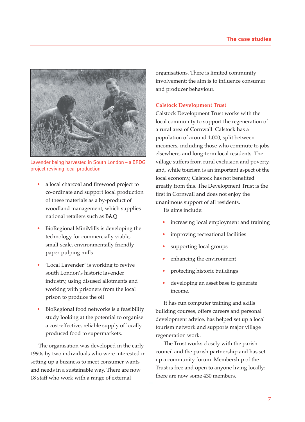

Lavender being harvested in South London – a BRDG project reviving local production

- a local charcoal and firewood project to co-ordinate and support local production of these materials as a by-product of woodland management, which supplies national retailers such as B&Q
- BioRegional MiniMills is developing the technology for commercially viable, small-scale, environmentally friendly paper-pulping mills
- 'Local Lavender' is working to revive south London's historic lavender industry, using disused allotments and working with prisoners from the local prison to produce the oil
- BioRegional food networks is a feasibility study looking at the potential to organise a cost-effective, reliable supply of locally produced food to supermarkets.

The organisation was developed in the early 1990s by two individuals who were interested in setting up a business to meet consumer wants and needs in a sustainable way. There are now 18 staff who work with a range of external

organisations. There is limited community involvement: the aim is to influence consumer and producer behaviour.

### **Calstock Development Trust**

Calstock Development Trust works with the local community to support the regeneration of a rural area of Cornwall. Calstock has a population of around 1,000, split between incomers, including those who commute to jobs elsewhere, and long-term local residents. The village suffers from rural exclusion and poverty, and, while tourism is an important aspect of the local economy, Calstock has not benefited greatly from this. The Development Trust is the first in Cornwall and does not enjoy the unanimous support of all residents.

Its aims include:

- increasing local employment and training
- improving recreational facilities
- supporting local groups
- enhancing the environment
- protecting historic buildings
- developing an asset base to generate income.

It has run computer training and skills building courses, offers careers and personal development advice, has helped set up a local tourism network and supports major village regeneration work.

The Trust works closely with the parish council and the parish partnership and has set up a community forum. Membership of the Trust is free and open to anyone living locally: there are now some 430 members.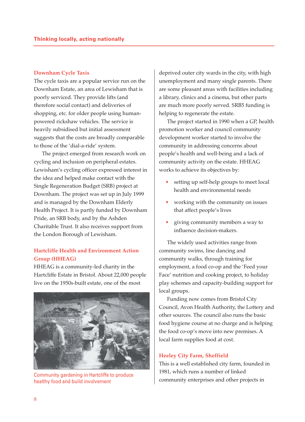#### **Downham Cycle Taxis**

The cycle taxis are a popular service run on the Downham Estate, an area of Lewisham that is poorly serviced. They provide lifts (and therefore social contact) and deliveries of shopping, etc. for older people using humanpowered rickshaw vehicles. The service is heavily subsidised but initial assessment suggests that the costs are broadly comparable to those of the 'dial-a-ride' system.

The project emerged from research work on cycling and inclusion on peripheral estates. Lewisham's cycling officer expressed interest in the idea and helped make contact with the Single Regeneration Budget (SRB) project at Downham. The project was set up in July 1999 and is managed by the Downham Elderly Health Project. It is partly funded by Downham Pride, an SRB body, and by the Ashden Charitable Trust. It also receives support from the London Borough of Lewisham.

## **Hartcliffe Health and Environment Action Group (HHEAG)**

HHEAG is a community-led charity in the Hartcliffe Estate in Bristol. About 22,000 people live on the 1950s-built estate, one of the most



healthy food and build involvement

deprived outer city wards in the city, with high unemployment and many single parents. There are some pleasant areas with facilities including a library, clinics and a cinema, but other parts are much more poorly served. SRB5 funding is helping to regenerate the estate.

The project started in 1990 when a GP, health promotion worker and council community development worker started to involve the community in addressing concerns about people's health and well-being and a lack of community activity on the estate. HHEAG works to achieve its objectives by:

- setting up self-help groups to meet local health and environmental needs
- working with the community on issues that affect people's lives
- giving community members a way to influence decision-makers.

The widely used activities range from community swims, line dancing and community walks, through training for employment, a food co-op and the 'Feed your Face' nutrition and cooking project, to holiday play schemes and capacity-building support for local groups.

Funding now comes from Bristol City Council, Avon Health Authority, the Lottery and other sources. The council also runs the basic food hygiene course at no charge and is helping the food co-op's move into new premises. A local farm supplies food at cost.

#### **Heeley City Farm, Sheffield**

This is a well established city farm, founded in 1981, which runs a number of linked Community gardening in Hartcliffe to produce<br>healthy food and build involvement<br>community enterprises and other projects in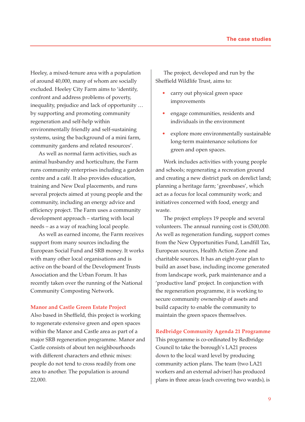Heeley, a mixed-tenure area with a population of around 40,000, many of whom are socially excluded. Heeley City Farm aims to 'identify, confront and address problems of poverty, inequality, prejudice and lack of opportunity … by supporting and promoting community regeneration and self-help within environmentally friendly and self-sustaining systems, using the background of a mini farm, community gardens and related resources'.

As well as normal farm activities, such as animal husbandry and horticulture, the Farm runs community enterprises including a garden centre and a café. It also provides education, training and New Deal placements, and runs several projects aimed at young people and the community, including an energy advice and efficiency project. The Farm uses a community development approach – starting with local needs – as a way of reaching local people.

As well as earned income, the Farm receives support from many sources including the European Social Fund and SRB money. It works with many other local organisations and is active on the board of the Development Trusts Association and the Urban Forum. It has recently taken over the running of the National Community Composting Network.

### **Manor and Castle Green Estate Project**

Also based in Sheffield, this project is working to regenerate extensive green and open spaces within the Manor and Castle area as part of a major SRB regeneration programme. Manor and Castle consists of about ten neighbourhoods with different characters and ethnic mixes: people do not tend to cross readily from one area to another. The population is around 22,000.

The project, developed and run by the Sheffield Wildlife Trust, aims to:

- carry out physical green space improvements
- engage communities, residents and individuals in the environment
- explore more environmentally sustainable long-term maintenance solutions for green and open spaces.

Work includes activities with young people and schools; regenerating a recreation ground and creating a new district park on derelict land; planning a heritage farm; 'greenbases', which act as a focus for local community work; and initiatives concerned with food, energy and waste.

The project employs 19 people and several volunteers. The annual running cost is £500,000. As well as regeneration funding, support comes from the New Opportunities Fund, Landfill Tax, European sources, Health Action Zone and charitable sources. It has an eight-year plan to build an asset base, including income generated from landscape work, park maintenance and a 'productive land' project. In conjunction with the regeneration programme, it is working to secure community ownership of assets and build capacity to enable the community to maintain the green spaces themselves.

#### **Redbridge Community Agenda 21 Programme**

This programme is co-ordinated by Redbridge Council to take the borough's LA21 process down to the local ward level by producing community action plans. The team (two LA21 workers and an external adviser) has produced plans in three areas (each covering two wards), is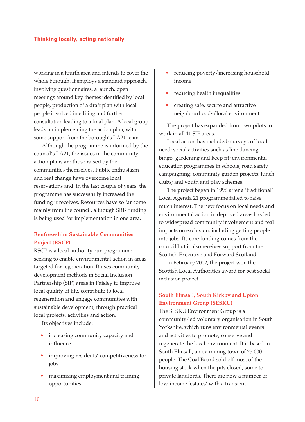working in a fourth area and intends to cover the whole borough. It employs a standard approach, involving questionnaires, a launch, open meetings around key themes identified by local people, production of a draft plan with local people involved in editing and further consultation leading to a final plan. A local group leads on implementing the action plan, with some support from the borough's LA21 team.

Although the programme is informed by the council's LA21, the issues in the community action plans are those raised by the communities themselves. Public enthusiasm and real change have overcome local reservations and, in the last couple of years, the programme has successfully increased the funding it receives. Resources have so far come mainly from the council, although SRB funding is being used for implementation in one area.

## **Renfrewshire Sustainable Communities Project (RSCP)**

RSCP is a local authority-run programme seeking to enable environmental action in areas targeted for regeneration. It uses community development methods in Social Inclusion Partnership (SIP) areas in Paisley to improve local quality of life, contribute to local regeneration and engage communities with sustainable development, through practical local projects, activities and action.

Its objectives include:

- increasing community capacity and influence
- improving residents' competitiveness for jobs
- maximising employment and training opportunities
- reducing poverty/increasing household income
- reducing health inequalities
- creating safe, secure and attractive neighbourhoods/local environment.

The project has expanded from two pilots to work in all 11 SIP areas.

Local action has included: surveys of local need; social activities such as line dancing, bingo, gardening and keep fit; environmental education programmes in schools; road safety campaigning; community garden projects; lunch clubs; and youth and play schemes.

The project began in 1996 after a 'traditional' Local Agenda 21 programme failed to raise much interest. The new focus on local needs and environmental action in deprived areas has led to widespread community involvement and real impacts on exclusion, including getting people into jobs. Its core funding comes from the council but it also receives support from the Scottish Executive and Forward Scotland.

In February 2002, the project won the Scottish Local Authorities award for best social inclusion project.

## **South Elmsall, South Kirkby and Upton Environment Group (SESKU)**

The SESKU Environment Group is a community-led voluntary organisation in South Yorkshire, which runs environmental events and activities to promote, conserve and regenerate the local environment. It is based in South Elmsall, an ex-mining town of 25,000 people. The Coal Board sold off most of the housing stock when the pits closed, some to private landlords. There are now a number of low-income 'estates' with a transient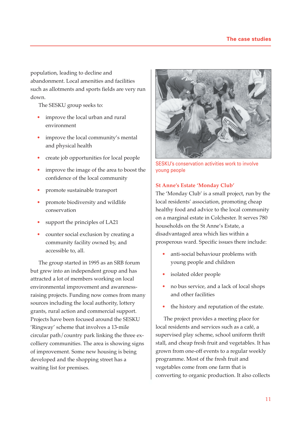population, leading to decline and abandonment. Local amenities and facilities such as allotments and sports fields are very run down.

The SESKU group seeks to:

- improve the local urban and rural environment
- improve the local community's mental and physical health
- create job opportunities for local people
- improve the image of the area to boost the confidence of the local community
- promote sustainable transport
- promote biodiversity and wildlife conservation
- support the principles of LA21
- counter social exclusion by creating a community facility owned by, and accessible to, all.

The group started in 1995 as an SRB forum but grew into an independent group and has attracted a lot of members working on local environmental improvement and awarenessraising projects. Funding now comes from many sources including the local authority, lottery grants, rural action and commercial support. Projects have been focused around the SESKU 'Ringway' scheme that involves a 13-mile circular path/country park linking the three excolliery communities. The area is showing signs of improvement. Some new housing is being developed and the shopping street has a waiting list for premises.



SESKU's conservation activities work to involve young people

## **St Anne's Estate 'Monday Club'**

The 'Monday Club' is a small project, run by the local residents' association, promoting cheap healthy food and advice to the local community on a marginal estate in Colchester. It serves 780 households on the St Anne's Estate, a disadvantaged area which lies within a prosperous ward. Specific issues there include:

- anti-social behaviour problems with young people and children
- isolated older people
- no bus service, and a lack of local shops and other facilities
- the history and reputation of the estate.

The project provides a meeting place for local residents and services such as a café, a supervised play scheme, school uniform thrift stall, and cheap fresh fruit and vegetables. It has grown from one-off events to a regular weekly programme. Most of the fresh fruit and vegetables come from one farm that is converting to organic production. It also collects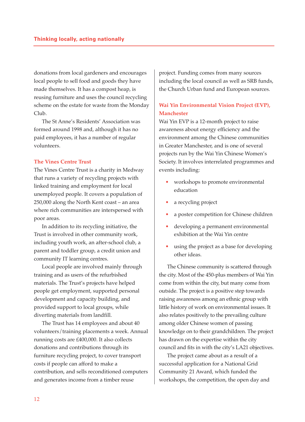donations from local gardeners and encourages local people to sell food and goods they have made themselves. It has a compost heap, is reusing furniture and uses the council recycling scheme on the estate for waste from the Monday Club.

The St Anne's Residents' Association was formed around 1998 and, although it has no paid employees, it has a number of regular volunteers.

### **The Vines Centre Trust**

The Vines Centre Trust is a charity in Medway that runs a variety of recycling projects with linked training and employment for local unemployed people. It covers a population of 250,000 along the North Kent coast – an area where rich communities are interspersed with poor areas.

In addition to its recycling initiative, the Trust is involved in other community work, including youth work, an after-school club, a parent and toddler group, a credit union and community IT learning centres.

Local people are involved mainly through training and as users of the refurbished materials. The Trust's projects have helped people get employment, supported personal development and capacity building, and provided support to local groups, while diverting materials from landfill.

The Trust has 14 employees and about 40 volunteers/training placements a week. Annual running costs are £400,000. It also collects donations and contributions through its furniture recycling project, to cover transport costs if people can afford to make a contribution, and sells reconditioned computers and generates income from a timber reuse

project. Funding comes from many sources including the local council as well as SRB funds, the Church Urban fund and European sources.

## **Wai Yin Environmental Vision Project (EVP), Manchester**

Wai Yin EVP is a 12-month project to raise awareness about energy efficiency and the environment among the Chinese communities in Greater Manchester, and is one of several projects run by the Wai Yin Chinese Women's Society. It involves interrelated programmes and events including:

- workshops to promote environmental education
- a recycling project
- a poster competition for Chinese children
- developing a permanent environmental exhibition at the Wai Yin centre
- using the project as a base for developing other ideas.

The Chinese community is scattered through the city. Most of the 450-plus members of Wai Yin come from within the city, but many come from outside. The project is a positive step towards raising awareness among an ethnic group with little history of work on environmental issues. It also relates positively to the prevailing culture among older Chinese women of passing knowledge on to their grandchildren. The project has drawn on the expertise within the city council and fits in with the city's LA21 objectives.

The project came about as a result of a successful application for a National Grid Community 21 Award, which funded the workshops, the competition, the open day and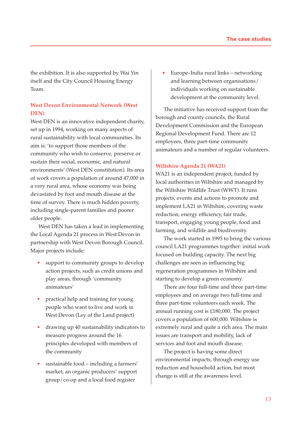the exhibition. It is also supported by Wai Yin itself and the City Council Housing Energy Team.

## **West Devon Environmental Network (West DEN)**

West DEN is an innovative independent charity, set up in 1994, working on many aspects of rural sustainability with local communities. Its aim is: 'to support those members of the community who wish to conserve, preserve or sustain their social, economic, and natural environments' (West DEN constitution). Its area of work covers a population of around 47,000 in a very rural area, whose economy was being devastated by foot and mouth disease at the time of survey. There is much hidden poverty, including single-parent families and poorer older people.

West DEN has taken a lead in implementing the Local Agenda 21 process in West Devon in partnership with West Devon Borough Council. Major projects include:

- support to community groups to develop action projects, such as credit unions and play areas, through 'community animateurs'
- practical help and training for young people who want to live and work in West Devon (Ley of the Land project)
- drawing up 40 sustainability indicators to measure progress around the 16 principles developed with members of the community
- sustainable food including a farmers' market, an organic producers' support group/co-op and a local food register

• Europe–India rural links – networking and learning between organisations/ individuals working on sustainable development at the community level.

The initiative has received support from the borough and county councils, the Rural Development Commission and the European Regional Development Fund. There are 12 employees, three part-time community animateurs and a number of regular volunteers.

## **Wiltshire Agenda 21 (WA21)**

WA21 is an independent project, funded by local authorities in Wiltshire and managed by the Wiltshire Wildlife Trust (WWT). It runs projects, events and actions to promote and implement LA21 in Wiltshire, covering waste reduction, energy efficiency, fair trade, transport, engaging young people, food and farming, and wildlife and biodiversity.

The work started in 1995 to bring the various council LA21 programmes together: initial work focused on building capacity. The next big challenges are seen as influencing big regeneration programmes in Wiltshire and starting to develop a green economy.

There are four full-time and three part-time employees and on average two full-time and three part-time volunteers each week. The annual running cost is £180,000. The project covers a population of 600,000. Wiltshire is extremely rural and quite a rich area. The main issues are transport and mobility, lack of services and foot and mouth disease.

The project is having some direct environmental impacts, through energy use reduction and household action, but most change is still at the awareness level.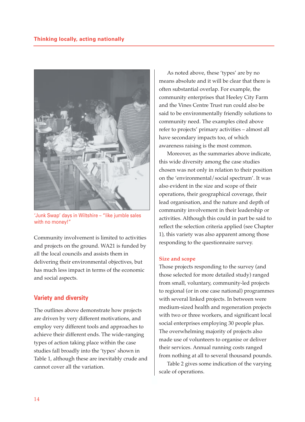

'Junk Swap' days in Wiltshire – "like jumble sales with no money!"

Community involvement is limited to activities and projects on the ground. WA21 is funded by all the local councils and assists them in delivering their environmental objectives, but has much less impact in terms of the economic and social aspects.

## **Variety and diversity**

The outlines above demonstrate how projects are driven by very different motivations, and employ very different tools and approaches to achieve their different ends. The wide-ranging types of action taking place within the case studies fall broadly into the 'types' shown in Table 1, although these are inevitably crude and cannot cover all the variation.

As noted above, these 'types' are by no means absolute and it will be clear that there is often substantial overlap. For example, the community enterprises that Heeley City Farm and the Vines Centre Trust run could also be said to be environmentally friendly solutions to community need. The examples cited above refer to projects' primary activities – almost all have secondary impacts too, of which awareness raising is the most common.

Moreover, as the summaries above indicate, this wide diversity among the case studies chosen was not only in relation to their position on the 'environmental/social spectrum'. It was also evident in the size and scope of their operations, their geographical coverage, their lead organisation, and the nature and depth of community involvement in their leadership or activities. Although this could in part be said to reflect the selection criteria applied (see Chapter 1), this variety was also apparent among those responding to the questionnaire survey.

#### **Size and scope**

Those projects responding to the survey (and those selected for more detailed study) ranged from small, voluntary, community-led projects to regional (or in one case national) programmes with several linked projects. In between were medium-sized health and regeneration projects with two or three workers, and significant local social enterprises employing 30 people plus. The overwhelming majority of projects also made use of volunteers to organise or deliver their services. Annual running costs ranged from nothing at all to several thousand pounds.

Table 2 gives some indication of the varying scale of operations.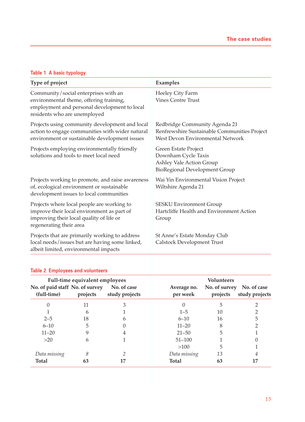## **Table 1 A basic typology**

| Type of project                                                                                                                                                 | Examples                                                                                                          |
|-----------------------------------------------------------------------------------------------------------------------------------------------------------------|-------------------------------------------------------------------------------------------------------------------|
| Community/social enterprises with an<br>environmental theme, offering training,<br>employment and personal development to local<br>residents who are unemployed | Heeley City Farm<br><b>Vines Centre Trust</b>                                                                     |
| Projects using community development and local<br>action to engage communities with wider natural<br>environment or sustainable development issues              | Redbridge Community Agenda 21<br>Renfrewshire Sustainable Communities Project<br>West Devon Environmental Network |
| Projects employing environmentally friendly<br>solutions and tools to meet local need                                                                           | Green Estate Project<br>Downham Cycle Taxis<br>Ashley Vale Action Group<br><b>BioRegional Development Group</b>   |
| Projects working to promote, and raise awareness<br>of, ecological environment or sustainable<br>development issues to local communities                        | Wai Yin Environmental Vision Project<br>Wiltshire Agenda 21                                                       |
| Projects where local people are working to<br>improve their local environment as part of<br>improving their local quality of life or<br>regenerating their area | <b>SESKU Environment Group</b><br>Hartcliffe Health and Environment Action<br>Group                               |
| Projects that are primarily working to address<br>local needs/issues but are having some linked,<br>albeit limited, environmental impacts                       | St Anne's Estate Monday Club<br>Calstock Development Trust                                                        |

## **Table 2 Employees and volunteers**

|                                                | Full-time equivalent employees |                               | <b>Volunteers</b>       |                           |                               |  |  |  |
|------------------------------------------------|--------------------------------|-------------------------------|-------------------------|---------------------------|-------------------------------|--|--|--|
| No. of paid staff No. of survey<br>(full-time) | projects                       | No. of case<br>study projects | Average no.<br>per week | No. of survey<br>projects | No. of case<br>study projects |  |  |  |
| 0                                              | 11                             | З                             | 0                       | 5                         |                               |  |  |  |
|                                                | h                              |                               | $1 - 5$                 | 10                        |                               |  |  |  |
| $2 - 5$                                        | 18                             | h                             | $6 - 10$                | 16                        | 5                             |  |  |  |
| $6 - 10$                                       | 5                              |                               | $11 - 20$               | 8                         |                               |  |  |  |
| $11 - 20$                                      |                                | 4                             | $21 - 50$               | 5                         |                               |  |  |  |
| >20                                            | h                              |                               | $51 - 100$              |                           |                               |  |  |  |
|                                                |                                |                               | >100                    | 5                         |                               |  |  |  |
| Data missing                                   | 8                              |                               | Data missing            | 13                        | 4                             |  |  |  |
| <b>Total</b>                                   | 63                             | 17                            | <b>Total</b>            | 63                        | 17                            |  |  |  |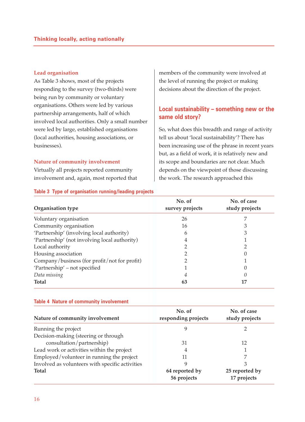## **Lead organisation**

As Table 3 shows, most of the projects responding to the survey (two-thirds) were being run by community or voluntary organisations. Others were led by various partnership arrangements, half of which involved local authorities. Only a small number were led by large, established organisations (local authorities, housing associations, or businesses).

#### **Nature of community involvement**

Virtually all projects reported community involvement and, again, most reported that

**Table 3 Type of organisation running/leading projects**

members of the community were involved at the level of running the project or making decisions about the direction of the project.

## **Local sustainability – something new or the same old story?**

So, what does this breadth and range of activity tell us about 'local sustainability'? There has been increasing use of the phrase in recent years but, as a field of work, it is relatively new and its scope and boundaries are not clear. Much depends on the viewpoint of those discussing the work. The research approached this

| Organisation type                             | No. of<br>survey projects | No. of case<br>study projects |
|-----------------------------------------------|---------------------------|-------------------------------|
| Voluntary organisation                        | 26                        |                               |
| Community organisation                        | 16                        |                               |
| 'Partnership' (involving local authority)     | h                         |                               |
| 'Partnership' (not involving local authority) | 4                         |                               |
| Local authority                               |                           |                               |
| Housing association                           |                           |                               |
| Company/business (for profit/not for profit)  |                           |                               |
| 'Partnership' – not specified                 |                           |                               |
| Data missing                                  | 4                         |                               |
| <b>Total</b>                                  | 63                        |                               |

#### **Table 4 Nature of community involvement**

| Nature of community involvement                 | No. of<br>responding projects | No. of case<br>study projects |
|-------------------------------------------------|-------------------------------|-------------------------------|
| Running the project                             |                               |                               |
| Decision-making (steering or through            |                               |                               |
| consultation/partnership)                       | 31                            | 12                            |
| Lead work or activities within the project      | 4                             |                               |
| Employed/volunteer in running the project       | 11                            | 7                             |
| Involved as volunteers with specific activities |                               | 3                             |
| <b>Total</b>                                    | 64 reported by<br>56 projects | 25 reported by<br>17 projects |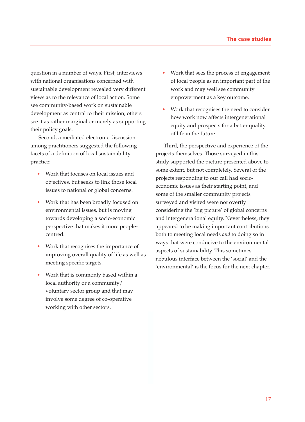question in a number of ways. First, interviews with national organisations concerned with sustainable development revealed very different views as to the relevance of local action. Some see community-based work on sustainable development as central to their mission; others see it as rather marginal or merely as supporting their policy goals.

Second, a mediated electronic discussion among practitioners suggested the following facets of a definition of local sustainability practice:

- Work that focuses on local issues and objectives, but seeks to link those local issues to national or global concerns.
- Work that has been broadly focused on environmental issues, but is moving towards developing a socio-economic perspective that makes it more peoplecentred.
- Work that recognises the importance of improving overall quality of life as well as meeting specific targets.
- Work that is commonly based within a local authority or a community/ voluntary sector group and that may involve some degree of co-operative working with other sectors.
- Work that sees the process of engagement of local people as an important part of the work and may well see community empowerment as a key outcome.
- Work that recognises the need to consider how work now affects intergenerational equity and prospects for a better quality of life in the future.

Third, the perspective and experience of the projects themselves. Those surveyed in this study supported the picture presented above to some extent, but not completely. Several of the projects responding to our call had socioeconomic issues as their starting point, and some of the smaller community projects surveyed and visited were not overtly considering the 'big picture' of global concerns and intergenerational equity. Nevertheless, they appeared to be making important contributions both to meeting local needs *and* to doing so in ways that were conducive to the environmental aspects of sustainability. This sometimes nebulous interface between the 'social' and the 'environmental' is the focus for the next chapter.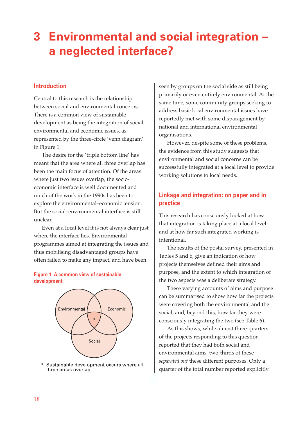## **3 Environmental and social integration – a neglected interface?**

## **Introduction**

Central to this research is the relationship between social and environmental concerns. There is a common view of sustainable development as being the integration of social, environmental and economic issues, as represented by the three-circle 'venn diagram' in Figure 1.

The desire for the 'triple bottom line' has meant that the area where all three overlap has been the main focus of attention. Of the areas where just two issues overlap, the socioeconomic interface is well documented and much of the work in the 1990s has been to explore the environmental–economic tension. But the social–environmental interface is still unclear.

Even at a local level it is not always clear just where the interface lies. Environmental programmes aimed at integrating the issues and thus mobilising disadvantaged groups have often failed to make any impact, and have been

## **Figure 1 A common view of sustainable development**



Sustainable development occurs where all three areas overlap.

seen by groups on the social side as still being primarily or even entirely environmental. At the same time, some community groups seeking to address basic local environmental issues have reportedly met with some disparagement by national and international environmental organisations.

However, despite some of these problems, the evidence from this study suggests that environmental and social concerns can be successfully integrated at a local level to provide working solutions to local needs.

## **Linkage and integration: on paper and in practice**

This research has consciously looked at how that integration is taking place at a local level and at how far such integrated working is intentional.

The results of the postal survey, presented in Tables 5 and 6, give an indication of how projects themselves defined their aims and purpose, and the extent to which integration of the two aspects was a deliberate strategy.

These varying accounts of aims and purpose can be summarised to show how far the projects were covering both the environmental and the social, and, beyond this, how far they were consciously integrating the two (see Table 6).

As this shows, while almost three-quarters of the projects responding to this question reported that they had both social and environmental aims, two-thirds of these *separated out* these different purposes. Only a quarter of the total number reported explicitly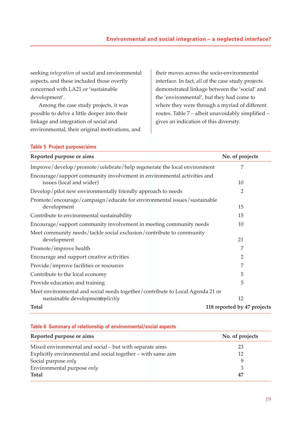seeking *integration* of social and environmental aspects, and these included those overtly concerned with LA21 or 'sustainable development'.

Among the case study projects, it was possible to delve a little deeper into their linkage and integration of social and environmental, their original motivations, and their moves across the socio-environmental interface. In fact, *all* of the case study projects demonstrated linkage between the 'social' and the 'environmental', but they had come to where they were through a myriad of different routes. Table 7 – albeit unavoidably simplified – gives an indication of this diversity.

#### **Table 5 Project purpose/aims**

| Reported purpose or aims                                                                                          | No. of projects             |
|-------------------------------------------------------------------------------------------------------------------|-----------------------------|
| Improve/develop/promote/celebrate/help regenerate the local environment                                           | 7                           |
| Encourage/support community involvement in environmental activities and<br>issues (local and wider)               | 10                          |
| Develop/pilot new environmentally friendly approach to needs                                                      | 2                           |
| Promote/encourage/campaign/educate for environmental issues/sustainable<br>development                            | 15                          |
| Contribute to environmental sustainability                                                                        | 15                          |
| Encourage/support community involvement in meeting community needs                                                | 10                          |
| Meet community needs/tackle social exclusion/contribute to community<br>development                               | 21                          |
| Promote/improve health                                                                                            | 7                           |
| Encourage and support creative activities                                                                         | $\overline{2}$              |
| Provide/improve facilities or resources                                                                           | 7                           |
| Contribute to the local economy                                                                                   | 5                           |
| Provide education and training                                                                                    | 5                           |
| Meet environmental and social needs together/contribute to Local Agenda 21 or<br>sustainable developmentxplicitly | 12                          |
| <b>Total</b>                                                                                                      | 118 reported by 47 projects |

#### **Table 6 Summary of relationship of environmental/social aspects**

| Reported purpose or aims                                     | No. of projects |
|--------------------------------------------------------------|-----------------|
| Mixed environmental and social – but with separate aims      | 23              |
| Explicitly environmental and social together - with same aim | 12              |
| Social purpose only                                          |                 |
| Environmental purpose only                                   | 3               |
| <b>Total</b>                                                 | 47              |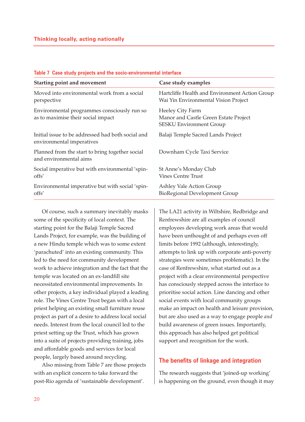| <b>Starting point and movement</b>                                                | Case study examples                                                                         |
|-----------------------------------------------------------------------------------|---------------------------------------------------------------------------------------------|
| Moved into environmental work from a social<br>perspective                        | Hartcliffe Health and Environment Action Group<br>Wai Yin Environmental Vision Project      |
| Environmental programmes consciously run so<br>as to maximise their social impact | Heeley City Farm<br>Manor and Castle Green Estate Project<br><b>SESKU Environment Group</b> |
| Initial issue to be addressed had both social and<br>environmental imperatives    | Balaji Temple Sacred Lands Project                                                          |
| Planned from the start to bring together social<br>and environmental aims         | Downham Cycle Taxi Service                                                                  |
| Social imperative but with environmental 'spin-<br>offs'                          | St Anne's Monday Club<br><b>Vines Centre Trust</b>                                          |
| Environmental imperative but with social 'spin-<br>offs'                          | Ashley Vale Action Group<br><b>BioRegional Development Group</b>                            |

## **Table 7 Case study projects and the socio-environmental interface**

Of course, such a summary inevitably masks some of the specificity of local context. The starting point for the Balaji Temple Sacred Lands Project, for example, was the building of a new Hindu temple which was to some extent 'parachuted' into an existing community. This led to the need for community development work to achieve integration and the fact that the temple was located on an ex-landfill site necessitated environmental improvements. In other projects, a key individual played a leading role. The Vines Centre Trust began with a local priest helping an existing small furniture reuse project as part of a desire to address local social needs. Interest from the local council led to the priest setting up the Trust, which has grown into a suite of projects providing training, jobs and affordable goods and services for local people, largely based around recycling.

Also missing from Table 7 are those projects with an explicit concern to take forward the post-Rio agenda of 'sustainable development'.

The LA21 activity in Wiltshire, Redbridge and Renfrewshire are all examples of council employees developing work areas that would have been unthought of and perhaps even off limits before 1992 (although, interestingly, attempts to link up with corporate anti-poverty strategies were sometimes problematic). In the case of Renfrewshire, what started out as a project with a clear environmental perspective has consciously stepped across the interface to prioritise social action. Line dancing and other social events with local community groups make an impact on health and leisure provision, but are also used as a way to engage people *and* build awareness of green issues. Importantly, this approach has also helped get political support and recognition for the work.

## **The benefits of linkage and integration**

The research suggests that 'joined-up working' is happening on the ground, even though it may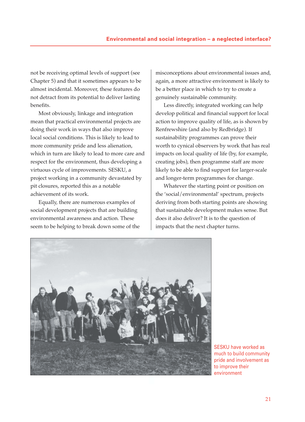not be receiving optimal levels of support (see Chapter 5) and that it sometimes appears to be almost incidental. Moreover, these features do not detract from its potential to deliver lasting benefits.

Most obviously, linkage and integration mean that practical environmental projects are doing their work in ways that also improve local social conditions. This is likely to lead to more community pride and less alienation, which in turn are likely to lead to more care and respect for the environment, thus developing a virtuous cycle of improvements. SESKU, a project working in a community devastated by pit closures, reported this as a notable achievement of its work.

Equally, there are numerous examples of social development projects that are building environmental awareness and action. These seem to be helping to break down some of the misconceptions about environmental issues and, again, a more attractive environment is likely to be a better place in which to try to create a genuinely sustainable community.

Less directly, integrated working can help develop political and financial support for local action to improve quality of life, as is shown by Renfrewshire (and also by Redbridge). If sustainability programmes can prove their worth to cynical observers by work that has real impacts on local quality of life (by, for example, creating jobs), then programme staff are more likely to be able to find support for larger-scale and longer-term programmes for change.

Whatever the starting point or position on the 'social/environmental' spectrum, projects deriving from both starting points are showing that sustainable development makes sense. But does it also deliver? It is to the question of impacts that the next chapter turns.



SESKU have worked as much to build community pride and involvement as to improve their environment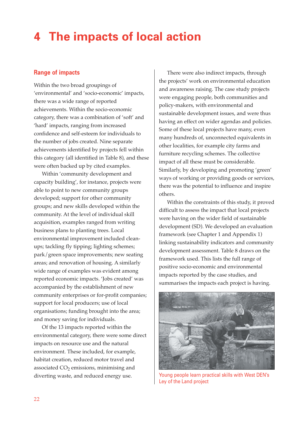## **4 The impacts of local action**

## **Range of impacts**

Within the two broad groupings of 'environmental' and 'socio-economic' impacts, there was a wide range of reported achievements. Within the socio-economic category, there was a combination of 'soft' and 'hard' impacts, ranging from increased confidence and self-esteem for individuals to the number of jobs created. Nine separate achievements identified by projects fell within this category (all identified in Table 8), and these were often backed up by cited examples.

Within 'community development and capacity building', for instance, projects were able to point to new community groups developed; support for other community groups; and new skills developed within the community. At the level of individual skill acquisition, examples ranged from writing business plans to planting trees. Local environmental improvement included cleanups; tackling fly tipping; lighting schemes; park/green space improvements; new seating areas; and renovation of housing. A similarly wide range of examples was evident among reported economic impacts. 'Jobs created' was accompanied by the establishment of new community enterprises or for-profit companies; support for local producers; use of local organisations; funding brought into the area; and money saving for individuals.

Of the 13 impacts reported within the environmental category, there were some direct impacts on resource use and the natural environment. These included, for example, habitat creation, reduced motor travel and associated  $CO<sub>2</sub>$  emissions, minimising and diverting waste, and reduced energy use.

There were also indirect impacts, through the projects' work on environmental education and awareness raising. The case study projects were engaging people, both communities and policy-makers, with environmental and sustainable development issues, and were thus having an effect on wider agendas and policies. Some of these local projects have many, even many hundreds of, unconnected equivalents in other localities, for example city farms and furniture recycling schemes. The collective impact of all these must be considerable. Similarly, by developing and promoting 'green' ways of working or providing goods or services, there was the potential to influence and inspire others.

Within the constraints of this study, it proved difficult to assess the impact that local projects were having on the wider field of sustainable development (SD). We developed an evaluation framework (see Chapter 1 and Appendix 1) linking sustainability indicators and community development assessment. Table 8 draws on the framework used. This lists the full range of positive socio-economic and environmental impacts reported by the case studies, and summarises the impacts each project is having.



Young people learn practical skills with West DEN's Ley of the Land project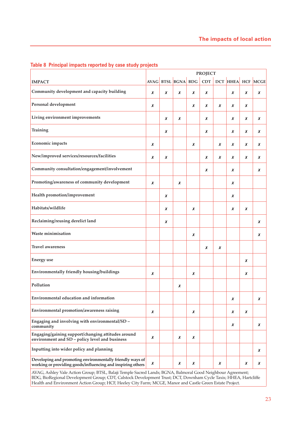|                                                                                                                          | <b>PROJECT</b> |   |                    |   |            |   |   |   |                   |
|--------------------------------------------------------------------------------------------------------------------------|----------------|---|--------------------|---|------------|---|---|---|-------------------|
| <b>IMPACT</b>                                                                                                            |                |   | AVAG BTSL BGNA BDG |   | <b>CDT</b> |   |   |   | DCT HHEA HCF MCGE |
| Community development and capacity building                                                                              | x              | x | x                  | x | x          |   | x | x | x                 |
| Personal development                                                                                                     | x              |   |                    | x | x          | x | x | x |                   |
| Living environment improvements                                                                                          |                | x | x                  |   | x          |   | x | x | X                 |
| <b>Training</b>                                                                                                          |                | x |                    |   | x          |   | x | x | X                 |
| Economic impacts                                                                                                         | x              |   |                    | x |            | x | x | x | X                 |
| New/improved services/resources/facilities                                                                               | x              | x |                    |   | x          | x | x | x | X                 |
| Community consultation/engagement/involvement                                                                            |                |   |                    |   | x          |   | x |   | X                 |
| Promoting/awareness of community development                                                                             | x              |   | x                  |   |            |   | x |   |                   |
| Health promotion/improvement                                                                                             |                | x |                    |   |            |   | x |   |                   |
| Habitats/wildlife                                                                                                        |                | x |                    | x |            |   | x | x |                   |
| Reclaiming/reusing derelict land                                                                                         |                | x |                    |   |            |   |   |   | x                 |
| <b>Waste minimisation</b>                                                                                                |                |   |                    | x |            |   |   |   | x                 |
| <b>Travel awareness</b>                                                                                                  |                |   |                    |   | x          | x |   |   |                   |
| <b>Energy</b> use                                                                                                        |                |   |                    |   |            |   |   | x |                   |
| Environmentally friendly housing/buildings                                                                               | x              |   |                    | x |            |   |   | x |                   |
| Pollution                                                                                                                |                |   | x                  |   |            |   |   |   |                   |
| Environmental education and information                                                                                  |                |   |                    |   |            |   | x |   | x                 |
| Environmental promotion/awareness raising                                                                                | x              |   |                    | x |            |   | x | x |                   |
| Engaging and involving with environmental/SD -<br>community                                                              |                |   |                    |   |            |   | x |   | x                 |
| Engaging/gaining support/changing attitudes around<br>environment and SD - policy level and business                     | x              |   | x                  | x |            |   |   |   |                   |
| Inputting into wider policy and planning                                                                                 |                |   |                    |   |            |   |   |   | X                 |
| Developing and promoting environmentally friendly ways of<br>working or providing goods/influencing and inspiring others | X              |   | x                  | x |            | x |   | x | x                 |

## **Table 8 Principal impacts reported by case study projects**

AVAG, Ashley Vale Action Group; BTSL, Balaji Temple Sacred Lands; BGNA, Balmoral Good Neighbour Agreement; BDG, BioRegional Development Group; CDT, Calstock Development Trust; DCT, Downham Cycle Taxis; HHEA, Hartcliffe Health and Environment Action Group; HCF, Heeley City Farm; MCGE, Manor and Castle Green Estate Project.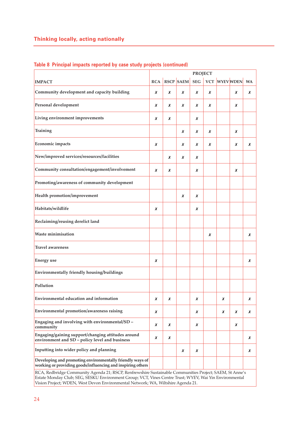|                                                                                                                                                                                                                   | <b>PROJECT</b> |   |                  |            |            |   |                  |           |
|-------------------------------------------------------------------------------------------------------------------------------------------------------------------------------------------------------------------|----------------|---|------------------|------------|------------|---|------------------|-----------|
| <b>IMPACT</b>                                                                                                                                                                                                     | <b>RCA</b>     |   | <b>RSCP SAEM</b> | <b>SEG</b> | <b>VCT</b> |   | <b>WYEV WDEN</b> | <b>WA</b> |
| Community development and capacity building                                                                                                                                                                       | x              | x | x                | x          | x          |   | x                | x         |
| Personal development                                                                                                                                                                                              | x              | x | x                | x          | x          |   | x                |           |
| Living environment improvements                                                                                                                                                                                   | x              | x |                  | x          |            |   |                  |           |
| Training                                                                                                                                                                                                          |                |   | x                | x          | x          |   | x                |           |
| Economic impacts                                                                                                                                                                                                  | x              |   | x                | x          | x          |   | x                | x         |
| New/improved services/resources/facilities                                                                                                                                                                        |                | x | x                | x          |            |   |                  |           |
| Community consultation/engagement/involvement                                                                                                                                                                     | x              | x |                  | x          |            |   | x                |           |
| Promoting/awareness of community development                                                                                                                                                                      |                |   |                  |            |            |   |                  |           |
| Health promotion/improvement                                                                                                                                                                                      |                |   | x                | x          |            |   |                  |           |
| Habitats/wildlife                                                                                                                                                                                                 | x              |   |                  | x          |            |   |                  |           |
| Reclaiming/reusing derelict land                                                                                                                                                                                  |                |   |                  |            |            |   |                  |           |
| <b>Waste minimisation</b>                                                                                                                                                                                         |                |   |                  |            | x          |   |                  | x         |
| <b>Travel awareness</b>                                                                                                                                                                                           |                |   |                  |            |            |   |                  |           |
| <b>Energy</b> use                                                                                                                                                                                                 | x              |   |                  |            |            |   |                  | x         |
| Environmentally friendly housing/buildings                                                                                                                                                                        |                |   |                  |            |            |   |                  |           |
| Pollution                                                                                                                                                                                                         |                |   |                  |            |            |   |                  |           |
| Environmental education and information                                                                                                                                                                           | x              | x |                  | x          |            | x |                  | x         |
| Environmental promotion/awareness raising                                                                                                                                                                         | X              |   |                  | x          |            | X | X                | x         |
| Engaging and involving with environmental/SD -<br>community                                                                                                                                                       | x              | x |                  | x          |            |   | x                |           |
| Engaging/gaining support/changing attitudes around<br>environment and SD - policy level and business                                                                                                              | x              | x |                  |            |            |   |                  | x         |
| Inputting into wider policy and planning                                                                                                                                                                          |                |   | x                | x          |            |   |                  | x         |
| Developing and promoting environmentally friendly ways of<br>working or providing goods/influencing and inspiring others                                                                                          |                |   |                  |            |            |   |                  |           |
| RCA, Redbridge Community Agenda 21; RSCP, Renfrewshire Sustainable Communities Project; SAEM, St Anne's<br>Estate Monday Club; SEG, SESKU Environment Group; VCT, Vines Centre Trust; WYEV, Wai Yin Environmental |                |   |                  |            |            |   |                  |           |

Vision Project; WDEN, West Devon Environmental Network; WA, Wiltshire Agenda 21.

## **Table 8 Principal impacts reported by case study projects (continued)**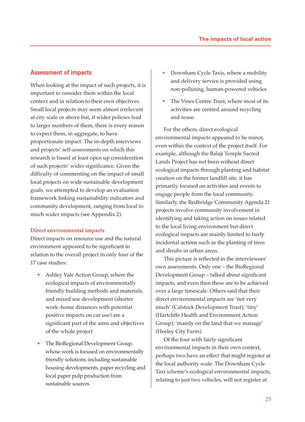## **Assessment of impacts**

When looking at the impact of such projects, it is important to consider them within the local context and in relation to their own objectives. Small local projects may seem almost irrelevant at city scale or above but, if wider policies lead to larger numbers of them, there is every reason to expect them, in aggregate, to have proportionate impact. The in-depth interviews and projects' self-assessments on which this research is based at least open up consideration of such projects' wider significance. Given the difficulty of commenting on the impact of small local projects on wide sustainable development goals, we attempted to develop an evaluation framework linking sustainability indicators and community development, ranging from local to much wider impacts (see Appendix 2).

#### **Direct environmental impacts**

Direct impacts on resource use and the natural environment appeared to be significant in relation to the overall project in only four of the 17 case studies:

- Ashley Vale Action Group, where the ecological impacts of environmentally friendly building methods and materials, and mixed use development (shorter work–home distances with potential positive impacts on car use) are a significant part of the aims and objectives of the whole project
- The BioRegional Development Group, whose work is focused on environmentally friendly solutions, including sustainable housing developments, paper recycling and local paper pulp production from sustainable sources
- Downham Cycle Taxis, where a mobility and delivery service is provided using non-polluting, human-powered vehicles
- The Vines Centre Trust, where most of its activities are centred around recycling and reuse.

For the others, direct ecological environmental impacts appeared to be minor, even within the context of the project itself. For example, although the Balaji Temple Sacred Lands Project has not been without direct ecological impacts through planting and habitat creation on the former landfill site, it has primarily focused on activities and events to engage people from the local community. Similarly, the Redbridge Community Agenda 21 projects involve community involvement in identifying and taking action on issues related to the local living environment but direct ecological impacts are mainly limited to fairly incidental actions such as the planting of trees and shrubs in urban areas.

This picture is reflected in the interviewees' own assessments. Only one – the BioRegional Development Group – talked about significant impacts, and even then these are to be achieved over a large timescale. Others said that their direct environmental impacts are 'not very much' (Calstock Development Trust); 'tiny' (Hartcliffe Health and Environment Action Group); 'mainly on the land that we manage' (Heeley City Farm).

Of the four with fairly significant environmental impacts in their own context, perhaps two have an effect that might register at the local authority scale. The Downham Cycle Taxi scheme's ecological environmental impacts, relating to just two vehicles, will not register at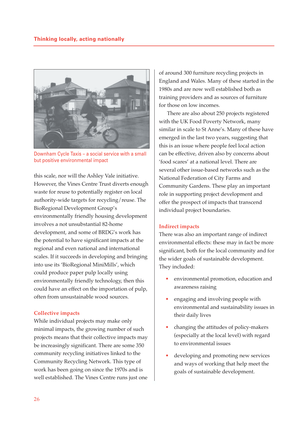

Downham Cycle Taxis – a social service with a small but positive environmental impact

this scale, nor will the Ashley Vale initiative. However, the Vines Centre Trust diverts enough waste for reuse to potentially register on local authority-wide targets for recycling/reuse. The BioRegional Development Group's environmentally friendly housing development involves a not unsubstantial 82-home development, and some of BRDG's work has the potential to have significant impacts at the regional and even national and international scales. If it succeeds in developing and bringing into use its 'BioRegional MiniMills', which could produce paper pulp locally using environmentally friendly technology, then this could have an effect on the importation of pulp, often from unsustainable wood sources.

### **Collective impacts**

While individual projects may make only minimal impacts, the growing number of such projects means that their collective impacts may be increasingly significant. There are some 350 community recycling initiatives linked to the Community Recycling Network. This type of work has been going on since the 1970s and is well established. The Vines Centre runs just one

of around 300 furniture recycling projects in England and Wales. Many of these started in the 1980s and are now well established both as training providers and as sources of furniture for those on low incomes.

There are also about 250 projects registered with the UK Food Poverty Network, many similar in scale to St Anne's. Many of these have emerged in the last two years, suggesting that this is an issue where people feel local action can be effective, driven also by concerns about 'food scares' at a national level. There are several other issue-based networks such as the National Federation of City Farms and Community Gardens. These play an important role in supporting project development and offer the prospect of impacts that transcend individual project boundaries.

#### **Indirect impacts**

There was also an important range of indirect environmental effects: these may in fact be more significant, both for the local community and for the wider goals of sustainable development. They included:

- environmental promotion, education and awareness raising
- engaging and involving people with environmental and sustainability issues in their daily lives
- changing the attitudes of policy-makers (especially at the local level) with regard to environmental issues
- developing and promoting new services and ways of working that help meet the goals of sustainable development.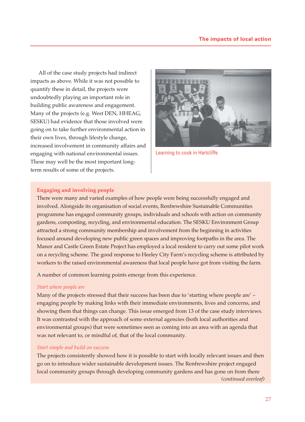All of the case study projects had indirect impacts as above. While it was not possible to quantify these in detail, the projects were undoubtedly playing an important role in building public awareness and engagement. Many of the projects (e.g. West DEN, HHEAG, SESKU) had evidence that those involved were going on to take further environmental action in their own lives, through lifestyle change, increased involvement in community affairs and engaging with national environmental issues. These may well be the most important longterm results of some of the projects.



Learning to cook in Hartcliffe

### **Engaging and involving people**

There were many and varied examples of how people were being successfully engaged and involved. Alongside its organisation of social events, Renfrewshire Sustainable Communities programme has engaged community groups, individuals and schools with action on community gardens, composting, recycling, and environmental education. The SESKU Environment Group attracted a strong community membership and involvement from the beginning in activities focused around developing new public green spaces and improving footpaths in the area. The Manor and Castle Green Estate Project has employed a local resident to carry out some pilot work on a recycling scheme. The good response to Heeley City Farm's recycling scheme is attributed by workers to the raised environmental awareness that local people have got from visiting the farm.

A number of common learning points emerge from this experience.

#### *Start where people are*

Many of the projects stressed that their success has been due to 'starting where people are' engaging people by making links with their immediate environments, lives and concerns, and showing them that things can change. This issue emerged from 13 of the case study interviews. It was contrasted with the approach of some external agencies (both local authorities and environmental groups) that were sometimes seen as coming into an area with an agenda that was not relevant to, or mindful of, that of the local community.

#### *Start simple and build on success*

The projects consistently showed how it is possible to start with locally relevant issues and then go on to introduce wider sustainable development issues. The Renfrewshire project engaged local community groups through developing community gardens and has gone on from there *(continued overleaf)*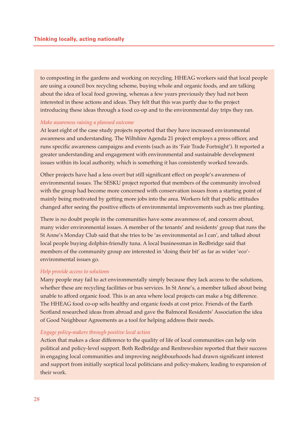to composting in the gardens and working on recycling. HHEAG workers said that local people are using a council box recycling scheme, buying whole and organic foods, and are talking about the idea of local food growing, whereas a few years previously they had not been interested in these actions and ideas. They felt that this was partly due to the project introducing these ideas through a food co-op and to the environmental day trips they ran.

#### *Make awareness raising a planned outcome*

At least eight of the case study projects reported that they have increased environmental awareness and understanding. The Wiltshire Agenda 21 project employs a press officer, and runs specific awareness campaigns and events (such as its 'Fair Trade Fortnight'). It reported a greater understanding and engagement with environmental and sustainable development issues within its local authority, which is something it has consistently worked towards.

Other projects have had a less overt but still significant effect on people's awareness of environmental issues. The SESKU project reported that members of the community involved with the group had become more concerned with conservation issues from a starting point of mainly being motivated by getting more jobs into the area. Workers felt that public attitudes changed after seeing the positive effects of environmental improvements such as tree planting.

There is no doubt people in the communities have some awareness of, and concern about, many wider environmental issues. A member of the tenants' and residents' group that runs the St Anne's Monday Club said that she tries to be 'as environmental as I can', and talked about local people buying dolphin-friendly tuna. A local businessman in Redbridge said that members of the community group are interested in 'doing their bit' as far as wider 'eco' environmental issues go.

#### *Help provide access to solutions*

Many people may fail to act environmentally simply because they lack access to the solutions, whether these are recycling facilities or bus services. In St Anne's, a member talked about being unable to afford organic food. This is an area where local projects can make a big difference. The HHEAG food co-op sells healthy and organic foods at cost price. Friends of the Earth Scotland researched ideas from abroad and gave the Balmoral Residents' Association the idea of Good Neighbour Agreements as a tool for helping address their needs.

### *Engage policy-makers through positive local action*

Action that makes a clear difference to the quality of life of local communities can help win political and policy-level support. Both Redbridge and Renfrewshire reported that their success in engaging local communities and improving neighbourhoods had drawn significant interest and support from initially sceptical local politicians and policy-makers, leading to expansion of their work.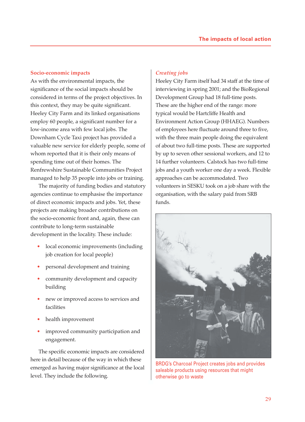### **Socio-economic impacts**

As with the environmental impacts, the significance of the social impacts should be considered in terms of the project objectives. In this context, they may be quite significant. Heeley City Farm and its linked organisations employ 60 people, a significant number for a low-income area with few local jobs. The Downham Cycle Taxi project has provided a valuable new service for elderly people, some of whom reported that it is their only means of spending time out of their homes. The Renfrewshire Sustainable Communities Project managed to help 35 people into jobs or training.

The majority of funding bodies and statutory agencies continue to emphasise the importance of direct economic impacts and jobs. Yet, these projects are making broader contributions on the socio-economic front and, again, these can contribute to long-term sustainable development in the locality. These include:

- local economic improvements (including job creation for local people)
- personal development and training
- community development and capacity building
- new or improved access to services and facilities
- health improvement
- improved community participation and engagement.

The specific economic impacts are considered here in detail because of the way in which these emerged as having major significance at the local level. They include the following.

## *Creating jobs*

Heeley City Farm itself had 34 staff at the time of interviewing in spring 2001; and the BioRegional Development Group had 18 full-time posts. These are the higher end of the range: more typical would be Hartcliffe Health and Environment Action Group (HHAEG). Numbers of employees here fluctuate around three to five, with the three main people doing the equivalent of about two full-time posts. These are supported by up to seven other sessional workers, and 12 to 14 further volunteers. Calstock has two full-time jobs and a youth worker one day a week. Flexible approaches can be accommodated. Two volunteers in SESKU took on a job share with the organisation, with the salary paid from SRB funds.



BRDG's Charcoal Project creates jobs and provides saleable products using resources that might otherwise go to waste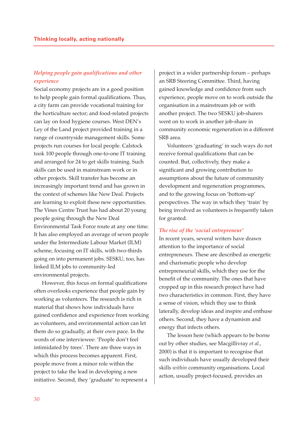## *Helping people gain qualifications and other experience*

Social economy projects are in a good position to help people gain formal qualifications. Thus, a city farm can provide vocational training for the horticulture sector; and food-related projects can lay on food hygiene courses. West DEN's Ley of the Land project provided training in a range of countryside management skills. Some projects run courses for local people. Calstock took 100 people through one-to-one IT training and arranged for 24 to get skills training. Such skills can be used in mainstream work or in other projects. Skill transfer has become an increasingly important trend and has grown in the context of schemes like New Deal. Projects are learning to exploit these new opportunities. The Vines Centre Trust has had about 20 young people going through the New Deal Environmental Task Force route at any one time. It has also employed an average of seven people under the Intermediate Labour Market (ILM) scheme, focusing on IT skills, with two-thirds going on into permanent jobs. SESKU, too, has linked ILM jobs to community-led environmental projects.

However, this focus on formal qualifications often overlooks experience that people gain by working as volunteers. The research is rich in material that shows how individuals have gained confidence and experience from working as volunteers, and environmental action can let them do so gradually, at their own pace. In the words of one interviewee: 'People don't feel intimidated by trees'. There are three ways in which this process becomes apparent. First, people move from a minor role within the project to take the lead in developing a new initiative. Second, they 'graduate' to represent a

project in a wider partnership forum – perhaps an SRB Steering Committee. Third, having gained knowledge and confidence from such experience, people move on to work outside the organisation in a mainstream job or with another project. The two SESKU job-sharers went on to work in another job-share in community economic regeneration in a different SRB area.

Volunteers 'graduating' in such ways do not receive formal qualifications that can be counted. But, collectively, they make a significant and growing contribution to assumptions about the future of community development and regeneration programmes, and to the growing focus on 'bottom-up' perspectives. The way in which they 'train' by being involved as volunteers is frequently taken for granted.

#### *The rise of the 'social entrepreneur'*

In recent years, several writers have drawn attention to the importance of social entrepreneurs. These are described as energetic and charismatic people who develop entrepreneurial skills, which they use for the benefit of the community. The ones that have cropped up in this research project have had two characteristics in common. First, they have a sense of vision, which they use to think laterally, develop ideas and inspire and enthuse others. Second, they have a dynamism and energy that infects others.

The lesson here (which appears to be borne out by other studies, see Macgillivray *et al.*, 2000) is that it is important to recognise that such individuals have usually developed their skills *within* community organisations. Local action, usually project-focused, provides an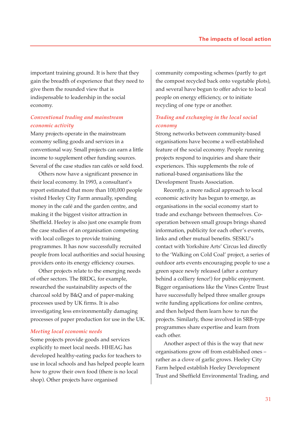important training ground. It is here that they gain the breadth of experience that they need to give them the rounded view that is indispensable to leadership in the social economy.

## *Conventional trading and mainstream economic activity*

Many projects operate in the mainstream economy selling goods and services in a conventional way. Small projects can earn a little income to supplement other funding sources. Several of the case studies ran cafés or sold food.

Others now have a significant presence in their local economy. In 1993, a consultant's report estimated that more than 100,000 people visited Heeley City Farm annually, spending money in the café and the garden centre, and making it the biggest visitor attraction in Sheffield. Heeley is also just one example from the case studies of an organisation competing with local colleges to provide training programmes. It has now successfully recruited people from local authorities and social housing providers onto its energy efficiency courses.

Other projects relate to the emerging needs of other sectors. The BRDG, for example, researched the sustainability aspects of the charcoal sold by B&Q and of paper-making processes used by UK firms. It is also investigating less environmentally damaging processes of paper production for use in the UK.

#### *Meeting local economic needs*

Some projects provide goods and services explicitly to meet local needs. HHEAG has developed healthy-eating packs for teachers to use in local schools and has helped people learn how to grow their own food (there is no local shop). Other projects have organised

community composting schemes (partly to get the compost recycled back onto vegetable plots), and several have begun to offer advice to local people on energy efficiency, or to initiate recycling of one type or another.

## *Trading and exchanging in the local social economy*

Strong networks between community-based organisations have become a well-established feature of the social economy. People running projects respond to inquiries and share their experiences. This supplements the role of national-based organisations like the Development Trusts Association.

Recently, a more radical approach to local economic activity has begun to emerge, as organisations in the social economy start to trade and exchange between themselves. Cooperation between small groups brings shared information, publicity for each other's events, links and other mutual benefits. SESKU's contact with Yorkshire Arts' Circus led directly to the 'Walking on Cold Coal' project, a series of outdoor arts events encouraging people to use a green space newly released (after a century behind a colliery fence!) for public enjoyment. Bigger organisations like the Vines Centre Trust have successfully helped three smaller groups write funding applications for online centres, and then helped them learn how to run the projects. Similarly, those involved in SRB-type programmes share expertise and learn from each other.

Another aspect of this is the way that new organisations grow off from established ones – rather as a clove of garlic grows. Heeley City Farm helped establish Heeley Development Trust and Sheffield Environmental Trading, and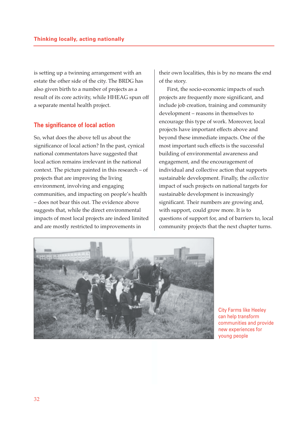is setting up a twinning arrangement with an estate the other side of the city. The BRDG has also given birth to a number of projects as a result of its core activity, while HHEAG spun off a separate mental health project.

## **The significance of local action**

So, what does the above tell us about the significance of local action? In the past, cynical national commentators have suggested that local action remains irrelevant in the national context. The picture painted in this research – of projects that are improving the living environment, involving and engaging communities, and impacting on people's health – does not bear this out. The evidence above suggests that, while the direct environmental impacts of most local projects are indeed limited and are mostly restricted to improvements in

their own localities, this is by no means the end of the story.

First, the socio-economic impacts of such projects are frequently more significant, and include job creation, training and community development – reasons in themselves to encourage this type of work. Moreover, local projects have important effects above and beyond these immediate impacts. One of the most important such effects is the successful building of environmental awareness and engagement, and the encouragement of individual and collective action that supports sustainable development. Finally, the *collective* impact of such projects on national targets for sustainable development is increasingly significant. Their numbers are growing and, with support, could grow more. It is to questions of support for, and of barriers to, local community projects that the next chapter turns.



City Farms like Heeley can help transform communities and provide new experiences for young people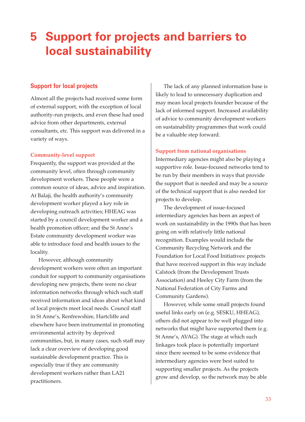## **5 Support for projects and barriers to local sustainability**

## **Support for local projects**

Almost all the projects had received some form of external support, with the exception of local authority-run projects, and even these had used advice from other departments, external consultants, etc. This support was delivered in a variety of ways.

### **Community-level support**

Frequently, the support was provided at the community level, often through community development workers. These people were a common source of ideas, advice and inspiration. At Balaji, the health authority's community development worker played a key role in developing outreach activities; HHEAG was started by a council development worker and a health promotion officer; and the St Anne's Estate community development worker was able to introduce food and health issues to the locality.

However, although community development workers were often an important conduit for support to community organisations developing new projects, there were no clear information networks through which such staff received information and ideas about what kind of local projects meet local needs. Council staff in St Anne's, Renfrewshire, Hartcliffe and elsewhere have been instrumental in promoting environmental activity by deprived communities, but, in many cases, such staff may lack a clear overview of developing good sustainable development practice. This is especially true if they are community development workers rather than LA21 practitioners.

The lack of any planned information base is likely to lead to unnecessary duplication and may mean local projects founder because of the lack of informed support. Increased availability of advice to community development workers on sustainability programmes that work could be a valuable step forward.

### **Support from national organisations**

Intermediary agencies might also be playing a supportive role. Issue-focused networks tend to be run by their members in ways that provide the support that is needed and may be a source of the technical support that is also needed for projects to develop.

The development of issue-focused intermediary agencies has been an aspect of work on sustainability in the 1990s that has been going on with relatively little national recognition. Examples would include the Community Recycling Network and the Foundation for Local Food Initiatives: projects that have received support in this way include Calstock (from the Development Trusts Association) and Heeley City Farm (from the National Federation of City Farms and Community Gardens).

However, while some small projects found useful links early on (e.g. SESKU, HHEAG), others did not appear to be well plugged into networks that might have supported them (e.g. St Anne's, AVAG). The stage at which such linkages took place is potentially important since there seemed to be some evidence that intermediary agencies were best suited to supporting smaller projects. As the projects grow and develop, so the network may be able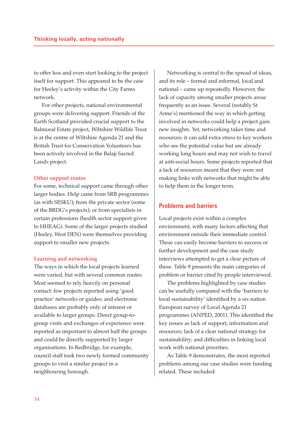to offer less and even start looking to the project itself for support. This appeared to be the case for Heeley's activity within the City Farms network.

For other projects, national environmental groups were delivering support. Friends of the Earth Scotland provided crucial support to the Balmoral Estate project, Wiltshire Wildlife Trust is at the centre of Wiltshire Agenda 21 and the British Trust for Conservation Volunteers has been actively involved in the Balaji Sacred Lands project.

#### **Other support routes**

For some, technical support came through other larger bodies. Help came from SRB programmes (as with SESKU); from the private sector (some of the BRDG's projects); or from specialists in certain professions (health sector support given to HHEAG). Some of the larger projects studied (Heeley, West DEN) were themselves providing support to smaller new projects.

#### **Learning and networking**

The ways in which the local projects learned were varied, but with several common routes. Most seemed to rely heavily on personal contact: few projects reported using 'good practice' networks or guides; and electronic databases are probably only of interest or available to larger groups. Direct group-togroup visits and exchanges of experience were reported as important to almost half the groups and could be directly supported by larger organisations. In Redbridge, for example, council staff took two newly formed community groups to visit a similar project in a neighbouring borough.

Networking is central to the spread of ideas, and its role – formal and informal, local and national – came up repeatedly. However, the lack of capacity among smaller projects arose frequently as an issue. Several (notably St Anne's) mentioned the way in which getting involved in networks could help a project gain new insights. Yet, networking takes time and resources: it can add extra stress to key workers who see the potential value but are already working long hours and may not wish to travel at anti-social hours. Some projects reported that a lack of resources meant that they were not making links with networks that might be able to help them in the longer term.

## **Problems and barriers**

Local projects exist within a complex environment, with many factors affecting that environment outside their immediate control. These can easily become barriers to success or further development and the case study interviews attempted to get a clear picture of these. Table 9 presents the main categories of problem or barrier cited by people interviewed.

The problems highlighted by case studies can be usefully compared with the 'barriers to local sustainability' identified by a six-nation European survey of Local Agenda 21 programmes (ANPED, 2001). This identified the key issues as lack of support, information and resources; lack of a clear national strategy for sustainability; and difficulties in linking local work with national priorities.

As Table 9 demonstrates, the most reported problems among our case studies were funding related. These included: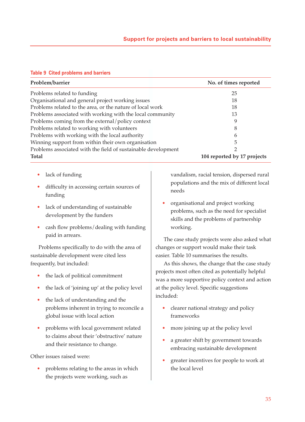#### **Table 9 Cited problems and barriers**

| Problem/barrier                                               | No. of times reported       |
|---------------------------------------------------------------|-----------------------------|
| Problems related to funding                                   | 25                          |
| Organisational and general project working issues             | 18                          |
| Problems related to the area, or the nature of local work     | 18                          |
| Problems associated with working with the local community     | 13                          |
| Problems coming from the external/policy context              | 9                           |
| Problems related to working with volunteers                   | 8                           |
| Problems with working with the local authority                | 6                           |
| Winning support from within their own organisation            | 5                           |
| Problems associated with the field of sustainable development | 2                           |
| <b>Total</b>                                                  | 104 reported by 17 projects |

- lack of funding
- difficulty in accessing certain sources of funding
- lack of understanding of sustainable development by the funders
- cash flow problems/dealing with funding paid in arrears.

Problems specifically to do with the area of sustainable development were cited less frequently, but included:

- the lack of political commitment
- the lack of 'joining up' at the policy level
- the lack of understanding and the problems inherent in trying to reconcile a global issue with local action
- problems with local government related to claims about their 'obstructive' nature and their resistance to change.

Other issues raised were:

• problems relating to the areas in which the projects were working, such as

vandalism, racial tension, dispersed rural populations and the mix of different local needs

• organisational and project working problems, such as the need for specialist skills and the problems of partnership working.

The case study projects were also asked what changes or support would make their task easier. Table 10 summarises the results.

As this shows, the change that the case study projects most often cited as potentially helpful was a more supportive policy context and action at the policy level. Specific suggestions included:

- clearer national strategy and policy frameworks
- more joining up at the policy level
- a greater shift by government towards embracing sustainable development
- greater incentives for people to work at the local level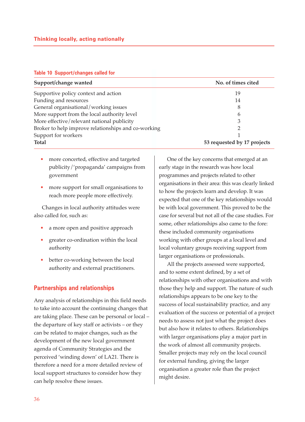#### **Table 10 Support/changes called for**

| Support/change wanted                               | No. of times cited          |  |  |  |
|-----------------------------------------------------|-----------------------------|--|--|--|
| Supportive policy context and action                | 19                          |  |  |  |
| Funding and resources                               | 14                          |  |  |  |
| General organisational/working issues               | 8                           |  |  |  |
| More support from the local authority level         | 6                           |  |  |  |
| More effective/relevant national publicity          | 3                           |  |  |  |
| Broker to help improve relationships and co-working | ∍                           |  |  |  |
| Support for workers                                 |                             |  |  |  |
| <b>Total</b>                                        | 53 requested by 17 projects |  |  |  |

- more concerted, effective and targeted publicity/'propaganda' campaigns from government
- more support for small organisations to reach more people more effectively.

Changes in local authority attitudes were also called for, such as:

- a more open and positive approach
- greater co-ordination within the local authority
- better co-working between the local authority and external practitioners.

## **Partnerships and relationships**

Any analysis of relationships in this field needs to take into account the continuing changes that are taking place. These can be personal or local – the departure of key staff or activists – or they can be related to major changes, such as the development of the new local government agenda of Community Strategies and the perceived 'winding down' of LA21. There is therefore a need for a more detailed review of local support structures to consider how they can help resolve these issues.

One of the key concerns that emerged at an early stage in the research was how local programmes and projects related to other organisations in their area: this was clearly linked to how the projects learn and develop. It was expected that one of the key relationships would be with local government. This proved to be the case for several but not all of the case studies. For some, other relationships also came to the fore: these included community organisations working with other groups at a local level and local voluntary groups receiving support from larger organisations or professionals.

All the projects assessed were supported, and to some extent defined, by a set of relationships with other organisations and with those they help and support. The nature of such relationships appears to be one key to the success of local sustainability practice, and any evaluation of the success or potential of a project needs to assess not just what the project does but also how it relates to others. Relationships with larger organisations play a major part in the work of almost all community projects. Smaller projects may rely on the local council for external funding, giving the larger organisation a greater role than the project might desire.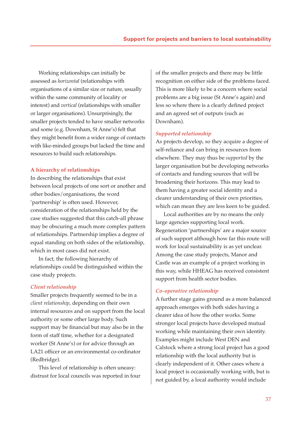Working relationships can initially be assessed as *horizontal* (relationships with organisations of a similar size or nature, usually within the same community of locality or interest) and *vertical* (relationships with smaller or larger organisations). Unsurprisingly, the smaller projects tended to have smaller networks and some (e.g. Downham, St Anne's) felt that they might benefit from a wider range of contacts with like-minded groups but lacked the time and resources to build such relationships.

#### **A hierarchy of relationships**

In describing the relationships that exist between local projects of one sort or another and other bodies/organisations, the word 'partnership' is often used. However, consideration of the relationships held by the case studies suggested that this catch-all phrase may be obscuring a much more complex pattern of relationships. Partnership implies a degree of equal standing on both sides of the relationship, which in most cases did not exist.

In fact, the following hierarchy of relationships could be distinguished within the case study projects.

#### *Client relationship*

Smaller projects frequently seemed to be in a *client relationship*, depending on their own internal resources and on support from the local authority or some other large body. Such support may be financial but may also be in the form of staff time, whether for a designated worker (St Anne's) or for advice through an LA21 officer or an environmental co-ordinator (Redbridge).

This level of relationship is often uneasy: distrust for local councils was reported in four of the smaller projects and there may be little recognition on either side of the problems faced. This is more likely to be a concern where social problems are a big issue (St Anne's again) and less so where there is a clearly defined project and an agreed set of outputs (such as Downham).

#### *Supported relationship*

As projects develop, so they acquire a degree of self-reliance and can bring in resources from elsewhere. They may thus be *supported* by the larger organisation but be developing networks of contacts and funding sources that will be broadening their horizons. This may lead to them having a greater social identity and a clearer understanding of their own priorities, which can mean they are less keen to be guided.

Local authorities are by no means the only large agencies supporting local work. Regeneration 'partnerships' are a major source of such support although how far this route will work for local sustainability is as yet unclear. Among the case study projects, Manor and Castle was an example of a project working in this way, while HHEAG has received consistent support from health sector bodies.

#### *Co-operative relationship*

A further stage gains ground as a more balanced approach emerges with both sides having a clearer idea of how the other works. Some stronger local projects have developed mutual working while maintaining their own identity. Examples might include West DEN and Calstock where a strong local project has a good relationship with the local authority but is clearly independent of it. Other cases where a local project is occasionally working with, but is not guided by, a local authority would include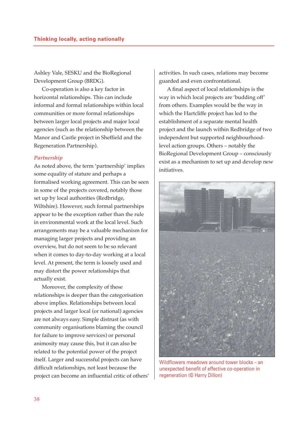Ashley Vale, SESKU and the BioRegional Development Group (BRDG).

Co-operation is also a key factor in horizontal relationships. This can include informal and formal relationships within local communities or more formal relationships between larger local projects and major local agencies (such as the relationship between the Manor and Castle project in Sheffield and the Regeneration Partnership).

#### *Partnership*

As noted above, the term 'partnership' implies some equality of stature and perhaps a formalised working agreement. This can be seen in some of the projects covered, notably those set up by local authorities (Redbridge, Wiltshire). However, such formal partnerships appear to be the exception rather than the rule in environmental work at the local level. Such arrangements may be a valuable mechanism for managing larger projects and providing an overview, but do not seem to be so relevant when it comes to day-to-day working at a local level. At present, the term is loosely used and may distort the power relationships that actually exist.

Moreover, the complexity of these relationships is deeper than the categorisation above implies. Relationships between local projects and larger local (or national) agencies are not always easy. Simple distrust (as with community organisations blaming the council for failure to improve services) or personal animosity may cause this, but it can also be related to the potential power of the project itself. Larger and successful projects can have difficult relationships, not least because the project can become an influential critic of others' activities. In such cases, relations may become guarded and even confrontational.

A final aspect of local relationships is the way in which local projects are 'budding off' from others. Examples would be the way in which the Hartcliffe project has led to the establishment of a separate mental health project and the launch within Redbridge of two independent but supported neighbourhoodlevel action groups. Others – notably the BioRegional Development Group – consciously exist as a mechanism to set up and develop new initiatives.



Wildflowers meadows around tower blocks – an unexpected benefit of effective co-operation in regeneration (© Harry Dillon)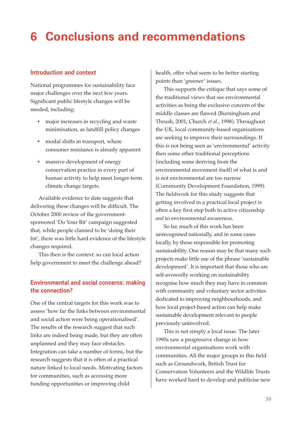## **6 Conclusions and recommendations**

## **Introduction and context**

National programmes for sustainability face major challenges over the next few years. Significant public lifestyle changes will be needed, including:

- major increases in recycling and waste minimisation, as landfill policy changes
- modal shifts in transport, where consumer resistance is already apparent
- massive development of energy conservation practice in every part of human activity to help meet longer-term climate change targets.

Available evidence to date suggests that delivering these changes will be difficult. The October 2000 review of the governmentsponsored 'Do Your Bit' campaign suggested that, while people claimed to be 'doing their bit', there was little hard evidence of the lifestyle changes required.

This then is the context: so can local action help government to meet the challenge ahead?

## **Environmental and social concerns: making the connection?**

One of the central targets for this work was to assess 'how far the links between environmental and social action were being operationalised'. The results of the research suggest that such links are indeed being made, but they are often unplanned and they may face obstacles. Integration can take a number of forms, but the research suggests that it is often of a practical nature linked to local needs. Motivating factors for communities, such as accessing more funding opportunities or improving child

health, offer what seem to be better starting points than 'greener' issues.

This supports the critique that says some of the traditional views that see environmental activities as being the exclusive concern of the middle classes are flawed (Burningham and Thrush, 2001; Church *et al.*, 1998). Throughout the UK, local community-based organisations are seeking to improve their surroundings. If this is not being seen as 'environmental' activity then some other traditional perceptions (including some deriving from the environmental movement itself) of what is and is not environmental are too narrow (Community Development Foundation, 1999). The fieldwork for this study suggests that getting involved in a practical local project is often a key first step both to active citizenship *and* to environmental awareness.

So far, much of this work has been unrecognised nationally, and in some cases locally, by those responsible for promoting sustainability. One reason may be that many such projects make little use of the phrase 'sustainable development'. It is important that those who are self-avowedly working on sustainability recognise how much they may have in common with community and voluntary sector activities dedicated to improving neighbourhoods, and how local project-based action can help make sustainable development relevant to people previously uninvolved.

This is not simply a local issue. The later 1990s saw a progressive change in how environmental organisations work with communities. All the major groups in this field such as Groundwork, British Trust for Conservation Volunteers and the Wildlife Trusts have worked hard to develop and publicise new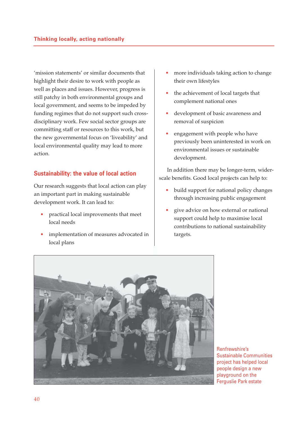'mission statements' or similar documents that highlight their desire to work with people as well as places and issues. However, progress is still patchy in both environmental groups and local government, and seems to be impeded by funding regimes that do not support such crossdisciplinary work. Few social sector groups are committing staff or resources to this work, but the new governmental focus on 'liveability' and local environmental quality may lead to more action*.*

## **Sustainability: the value of local action**

Our research suggests that local action can play an important part in making sustainable development work. It can lead to:

- practical local improvements that meet local needs
- implementation of measures advocated in local plans
- more individuals taking action to change their own lifestyles
- the achievement of local targets that complement national ones
- development of basic awareness and removal of suspicion
- engagement with people who have previously been uninterested in work on environmental issues or sustainable development.

In addition there may be longer-term, widerscale benefits. Good local projects can help to:

- build support for national policy changes through increasing public engagement
- give advice on how external or national support could help to maximise local contributions to national sustainability targets.



Renfrewshire's Sustainable Communities project has helped local people design a new playground on the Ferguslie Park estate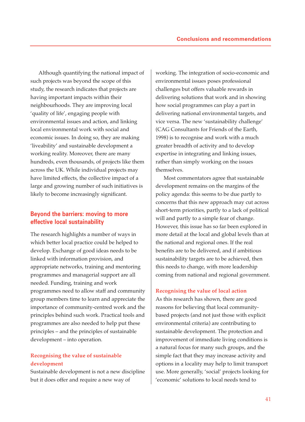Although quantifying the national impact of such projects was beyond the scope of this study, the research indicates that projects are having important impacts within their neighbourhoods. They are improving local 'quality of life', engaging people with environmental issues and action, and linking local environmental work with social and economic issues. In doing so, they are making 'liveability' and sustainable development a working reality. Moreover, there are many hundreds, even thousands, of projects like them across the UK. While individual projects may have limited effects, the collective impact of a large and growing number of such initiatives is likely to become increasingly significant.

## **Beyond the barriers: moving to more effective local sustainability**

The research highlights a number of ways in which better local practice could be helped to develop. Exchange of good ideas needs to be linked with information provision, and appropriate networks, training and mentoring programmes and managerial support are all needed. Funding, training and work programmes need to allow staff and community group members time to learn and appreciate the importance of community-centred work and the principles behind such work. Practical tools and programmes are also needed to help put these principles – and the principles of sustainable development – into operation.

## **Recognising the value of sustainable development**

Sustainable development is not a new discipline but it does offer and require a new way of

working. The integration of socio-economic and environmental issues poses professional challenges but offers valuable rewards in delivering solutions that work and in showing how social programmes can play a part in delivering national environmental targets, and vice versa. The new 'sustainability challenge' (CAG Consultants for Friends of the Earth, 1998) is to recognise and work with a much greater breadth of activity and to develop expertise in integrating and linking issues, rather than simply working on the issues themselves.

Most commentators agree that sustainable development remains on the margins of the policy agenda: this seems to be due partly to concerns that this new approach may cut across short-term priorities, partly to a lack of political will and partly to a simple fear of change. However, this issue has so far been explored in more detail at the local and global levels than at the national and regional ones. If the real benefits are to be delivered, and if ambitious sustainability targets are to be achieved, then this needs to change, with more leadership coming from national and regional government.

### **Recognising the value of local action**

As this research has shown, there are good reasons for believing that local communitybased projects (and not just those with explicit environmental criteria) are contributing to sustainable development. The protection and improvement of immediate living conditions is a natural focus for many such groups, and the simple fact that they may increase activity and options in a locality may help to limit transport use. More generally, 'social' projects looking for 'economic' solutions to local needs tend to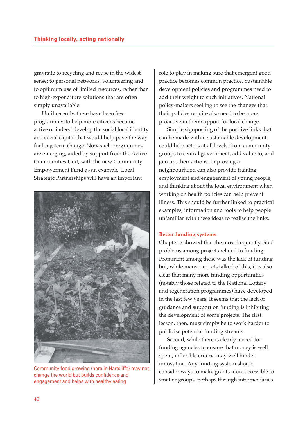gravitate to recycling and reuse in the widest sense; to personal networks, volunteering and to optimum use of limited resources, rather than to high-expenditure solutions that are often simply unavailable.

Until recently, there have been few programmes to help more citizens become active or indeed develop the social local identity and social capital that would help pave the way for long-term change. Now such programmes are emerging, aided by support from the Active Communities Unit, with the new Community Empowerment Fund as an example. Local Strategic Partnerships will have an important



Community food growing (here in Hartcliffe) may not change the world but builds confidence and engagement and helps with healthy eating

role to play in making sure that emergent good practice becomes common practice. Sustainable development policies and programmes need to add their weight to such initiatives. National policy-makers seeking to see the changes that their policies require also need to be more proactive in their support for local change.

Simple signposting of the positive links that can be made within sustainable development could help actors at all levels, from community groups to central government, add value to, and join up, their actions. Improving a neighbourhood can also provide training, employment and engagement of young people, and thinking about the local environment when working on health policies can help prevent illness. This should be further linked to practical examples, information and tools to help people unfamiliar with these ideas to realise the links.

#### **Better funding systems**

Chapter 5 showed that the most frequently cited problems among projects related to funding. Prominent among these was the lack of funding but, while many projects talked of this, it is also clear that many more funding opportunities (notably those related to the National Lottery and regeneration programmes) have developed in the last few years. It seems that the lack of guidance and support on funding is inhibiting the development of some projects. The first lesson, then, must simply be to work harder to publicise potential funding streams.

Second, while there is clearly a need for funding agencies to ensure that money is well spent, inflexible criteria may well hinder innovation. Any funding system should consider ways to make grants more accessible to smaller groups, perhaps through intermediaries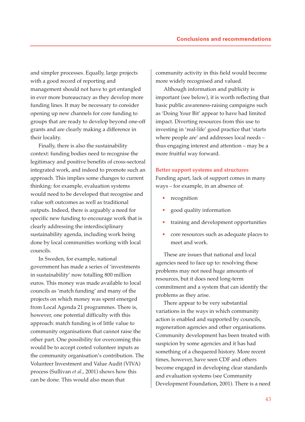and simpler processes. Equally, large projects with a good record of reporting and management should not have to get entangled in ever more bureaucracy as they develop more funding lines. It may be necessary to consider opening up new channels for core funding to groups that are ready to develop beyond one-off grants and are clearly making a difference in their locality.

Finally, there is also the sustainability context: funding bodies need to recognise the legitimacy and positive benefits of cross-sectoral integrated work, and indeed to promote such an approach. This implies some changes to current thinking: for example, evaluation systems would need to be developed that recognise and value soft outcomes as well as traditional outputs. Indeed, there is arguably a need for specific new funding to encourage work that is clearly addressing the interdisciplinary sustainability agenda, including work being done by local communities working with local councils.

In Sweden, for example, national government has made a series of 'investments in sustainability' now totalling 800 million euros. This money was made available to local councils as 'match funding' and many of the projects on which money was spent emerged from Local Agenda 21 programmes. There is, however, one potential difficulty with this approach: match funding is of little value to community organisations that cannot raise the other part. One possibility for overcoming this would be to accept costed volunteer inputs as the community organisation's contribution. The Volunteer Investment and Value Audit (VIVA) process (Sullivan *et al*., 2001) shows how this can be done. This would also mean that

community activity in this field would become more widely recognised and valued.

Although information and publicity is important (see below), it is worth reflecting that basic public awareness-raising campaigns such as 'Doing Your Bit' appear to have had limited impact. Diverting resources from this use to investing in 'real-life' good practice that 'starts where people are' and addresses local needs – thus engaging interest and attention – may be a more fruitful way forward.

#### **Better support systems and structures**

Funding apart, lack of support comes in many ways – for example, in an absence of:

- recognition
- good quality information
- training and development opportunities
- core resources such as adequate places to meet and work.

These are issues that national and local agencies need to face up to: resolving these problems may not need huge amounts of resources, but it does need long-term commitment and a system that can identify the problems as they arise.

There appear to be very substantial variations in the ways in which community action is enabled and supported by councils, regeneration agencies and other organisations. Community development has been treated with suspicion by some agencies and it has had something of a chequered history. More recent times, however, have seen CDF and others become engaged in developing clear standards and evaluation systems (see Community Development Foundation, 2001). There is a need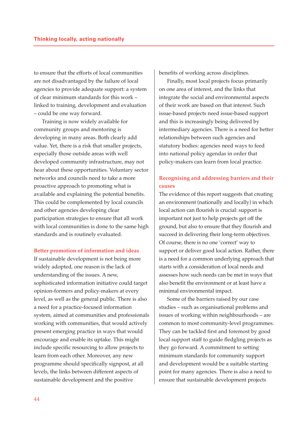to ensure that the efforts of local communities are not disadvantaged by the failure of local agencies to provide adequate support: a system of clear minimum standards for this work – linked to training, development and evaluation – could be one way forward.

Training is now widely available for community groups and mentoring is developing in many areas. Both clearly add value. Yet, there is a risk that smaller projects, especially those outside areas with well developed community infrastructure, may not hear about these opportunities. Voluntary sector networks and councils need to take a more proactive approach to promoting what is available and explaining the potential benefits. This could be complemented by local councils and other agencies developing clear participation strategies to ensure that all work with local communities is done to the same high standards and is routinely evaluated.

#### **Better promotion of information and ideas**

If sustainable development is not being more widely adopted, one reason is the lack of understanding of the issues. A new, sophisticated information initiative could target opinion-formers and policy-makers at every level, as well as the general public. There is also a need for a practice-focused information system, aimed at communities and professionals working with communities, that would actively present emerging practice in ways that would encourage and enable its uptake. This might include specific resourcing to allow projects to learn from each other. Moreover, any new programme should specifically signpost, at all levels, the links between different aspects of sustainable development and the positive

benefits of working across disciplines.

Finally, most local projects focus primarily on one area of interest, and the links that integrate the social and environmental aspects of their work are based on that interest. Such issue-based projects need issue-based support and this is increasingly being delivered by intermediary agencies. There is a need for better relationships between such agencies and statutory bodies: agencies need ways to feed into national policy agendas in order that policy-makers can learn from local practice.

## **Recognising and addressing barriers and their causes**

The evidence of this report suggests that creating an environment (nationally and locally) in which local action can flourish is crucial: support is important not just to help projects get off the ground, but also to ensure that they flourish and succeed in delivering their long-term objectives. Of course, there is no one 'correct' way to support or deliver good local action. Rather, there is a need for a common underlying approach that starts with a consideration of local needs and assesses how such needs can be met in ways that also benefit the environment or at least have a minimal environmental impact.

Some of the barriers raised by our case studies – such as organisational problems and issues of working within neighbourhoods – are common to most community-level programmes. They can be tackled first and foremost by good local support staff to guide fledgling projects as they go forward. A commitment to setting minimum standards for community support and development would be a suitable starting point for many agencies. There is also a need to ensure that sustainable development projects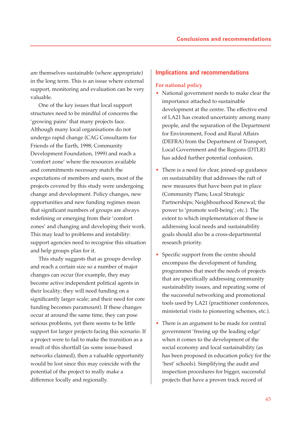are themselves sustainable (where appropriate) in the long term. This is an issue where external support, monitoring and evaluation can be very valuable.

One of the key issues that local support structures need to be mindful of concerns the 'growing pains' that many projects face. Although many local organisations do not undergo rapid change (CAG Consultants for Friends of the Earth, 1998; Community Development Foundation, 1999) and reach a 'comfort zone' where the resources available and commitments necessary match the expectations of members and users, most of the projects covered by this study were undergoing change and development. Policy changes, new opportunities and new funding regimes mean that significant numbers of groups are always redefining or emerging from their 'comfort zones' and changing and developing their work. This may lead to problems and instability: support agencies need to recognise this situation and help groups plan for it.

This study suggests that as groups develop and reach a certain size so a number of major changes can occur (for example, they may become active independent political agents in their locality; they will need funding on a significantly larger scale; and their need for core funding becomes paramount). If these changes occur at around the same time, they can pose serious problems, yet there seems to be little support for larger projects facing this scenario. If a project were to fail to make the transition as a result of this shortfall (as some issue-based networks claimed), then a valuable opportunity would be lost since this may coincide with the potential of the project to really make a difference locally and regionally.

## **Implications and recommendations**

#### **For national policy**

- National government needs to make clear the importance attached to sustainable development at the centre. The effective end of LA21 has created uncertainty among many people, and the separation of the Department for Environment, Food and Rural Affairs (DEFRA) from the Department of Transport, Local Government and the Regions (DTLR) has added further potential confusion.
- There is a need for clear, joined-up guidance on sustainability that addresses the raft of new measures that have been put in place (Community Plans; Local Strategic Partnerships; Neighbourhood Renewal; the power to 'promote well-being'; etc.). The extent to which implementation of these is addressing local needs and sustainability goals should also be a cross-departmental research priority.
- Specific support from the centre should encompass the development of funding programmes that meet the needs of projects that are specifically addressing community sustainability issues, and repeating some of the successful networking and promotional tools used by LA21 (practitioner conferences, ministerial visits to pioneering schemes, etc.).
- There is an argument to be made for central government 'freeing up the leading edge' when it comes to the development of the social economy and local sustainability (as has been proposed in education policy for the 'best' schools). Simplifying the audit and inspection procedures for bigger, successful projects that have a proven track record of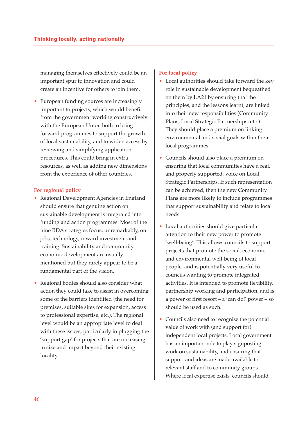managing themselves effectively could be an important spur to innovation and could create an incentive for others to join them.

• European funding sources are increasingly important to projects, which would benefit from the government working constructively with the European Union both to bring forward programmes to support the growth of local sustainability, and to widen access by reviewing and simplifying application procedures. This could bring in extra resources, as well as adding new dimensions from the experience of other countries.

### **For regional policy**

- Regional Development Agencies in England should ensure that genuine action on sustainable development is integrated into funding and action programmes. Most of the nine RDA strategies focus, unremarkably, on jobs, technology, inward investment and training. Sustainability and community economic development are usually mentioned but they rarely appear to be a fundamental part of the vision.
- Regional bodies should also consider what action they could take to assist in overcoming some of the barriers identified (the need for premises, suitable sites for expansion, access to professional expertise, etc.). The regional level would be an appropriate level to deal with these issues, particularly in plugging the 'support gap' for projects that are increasing in size and impact beyond their existing locality.

## **For local policy**

- Local authorities should take forward the key role in sustainable development bequeathed on them by LA21 by ensuring that the principles, and the lessons learnt, are linked into their new responsibilities (Community Plans; Local Strategic Partnerships; etc.). They should place a premium on linking environmental and social goals within their local programmes.
- Councils should also place a premium on ensuring that local communities have a real, and properly supported, voice on Local Strategic Partnerships. If such representation can be achieved, then the new Community Plans are more likely to include programmes that support sustainability and relate to local needs.
- Local authorities should give particular attention to their new power to promote 'well-being'. This allows councils to support projects that promote the social, economic and environmental well-being of local people, and is potentially very useful to councils wanting to promote integrated activities. It is intended to promote flexibility, partnership working and participation, and is a power of first resort – a 'can do!' power – so should be used as such.
- Councils also need to recognise the potential value of work with (and support for) independent local projects. Local government has an important role to play signposting work on sustainability, and ensuring that support and ideas are made available to relevant staff and to community groups. Where local expertise exists, councils should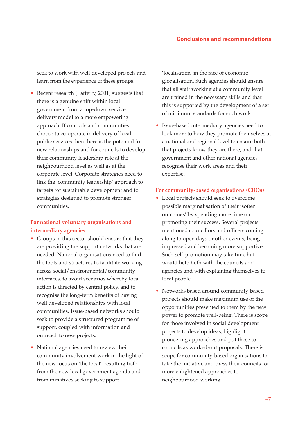seek to work with well-developed projects and learn from the experience of these groups.

• Recent research (Lafferty, 2001) suggests that there is a genuine shift within local government from a top-down service delivery model to a more empowering approach. If councils and communities choose to co-operate in delivery of local public services then there is the potential for new relationships and for councils to develop their community leadership role at the neighbourhood level as well as at the corporate level. Corporate strategies need to link the 'community leadership' approach to targets for sustainable development and to strategies designed to promote stronger communities.

## **For national voluntary organisations and intermediary agencies**

- Groups in this sector should ensure that they are providing the support networks that are needed. National organisations need to find the tools and structures to facilitate working across social/environmental/community interfaces, to avoid scenarios whereby local action is directed by central policy, and to recognise the long-term benefits of having well developed relationships with local communities. Issue-based networks should seek to provide a structured programme of support, coupled with information and outreach to new projects.
- National agencies need to review their community involvement work in the light of the new focus on 'the local', resulting both from the new local government agenda and from initiatives seeking to support

'localisation' in the face of economic globalisation. Such agencies should ensure that all staff working at a community level are trained in the necessary skills and that this is supported by the development of a set of minimum standards for such work.

• Issue-based intermediary agencies need to look more to how they promote themselves at a national and regional level to ensure both that projects know they are there, and that government and other national agencies recognise their work areas and their expertise.

#### **For community-based organisations (CBOs)**

- Local projects should seek to overcome possible marginalisation of their 'softer outcomes' by spending more time on promoting their success. Several projects mentioned councillors and officers coming along to open days or other events, being impressed and becoming more supportive. Such self-promotion may take time but would help both with the councils and agencies and with explaining themselves to local people.
- Networks based around community-based projects should make maximum use of the opportunities presented to them by the new power to promote well-being. There is scope for those involved in social development projects to develop ideas, highlight pioneering approaches and put these to councils as worked-out proposals. There is scope for community-based organisations to take the initiative and press their councils for more enlightened approaches to neighbourhood working.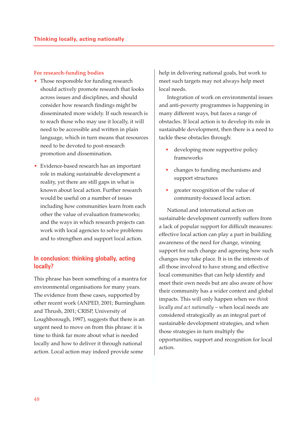## **For research-funding bodies**

- Those responsible for funding research should actively promote research that looks across issues and disciplines, and should consider how research findings might be disseminated more widely. If such research is to reach those who may use it locally, it will need to be accessible and written in plain language, which in turn means that resources need to be devoted to post-research promotion and dissemination.
- Evidence-based research has an important role in making sustainable development a reality, yet there are still gaps in what is known about local action. Further research would be useful on a number of issues including how communities learn from each other the value of evaluation frameworks; and the ways in which research projects can work with local agencies to solve problems and to strengthen and support local action.

## **In conclusion: thinking globally, acting locally?**

This phrase has been something of a mantra for environmental organisations for many years. The evidence from these cases, supported by other recent work (ANPED, 2001; Burningham and Thrush, 2001; CRISP, University of Loughborough, 1997), suggests that there is an urgent need to move on from this phrase: it is time to think far more about what is needed locally and how to deliver it through national action. Local action may indeed provide some

help in delivering national goals, but work to meet such targets may not always help meet local needs.

Integration of work on environmental issues and anti-poverty programmes is happening in many different ways, but faces a range of obstacles. If local action is to develop its role in sustainable development, then there is a need to tackle these obstacles through:

- developing more supportive policy frameworks
- changes to funding mechanisms and support structures
- greater recognition of the value of community-focused local action.

National and international action on sustainable development currently suffers from a lack of popular support for difficult measures: effective local action can play a part in building awareness of the need for change, winning support for such change and agreeing how such changes may take place. It is in the interests of all those involved to have strong and effective local communities that can help identify and meet their own needs but are also aware of how their community has a wider context and global impacts. This will only happen when we *think locally and act nationally* – when local needs are considered strategically as an integral part of sustainable development strategies, and when those strategies in turn multiply the opportunities, support and recognition for local action.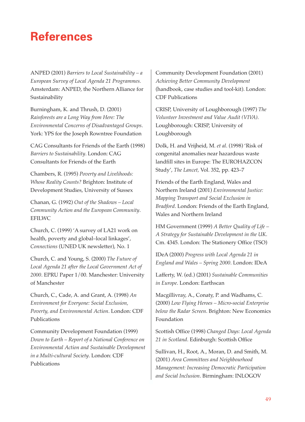## **References**

ANPED (2001) *Barriers to Local Sustainability – a European Survey of Local Agenda 21 Programmes.* Amsterdam: ANPED, the Northern Alliance for Sustainability

Burningham, K. and Thrush, D. (2001) *Rainforests are a Long Way from Here: The Environmental Concerns of Disadvantaged Groups*. York: YPS for the Joseph Rowntree Foundation

CAG Consultants for Friends of the Earth (1998) *Barriers to Sustainability*. London: CAG Consultants for Friends of the Earth

Chambers, R. (1995) *Poverty and Livelihoods: Whose Reality Counts?* Brighton: Institute of Development Studies, University of Sussex

Chanan, G. (1992) *Out of the Shadows – Local Community Action and the European Community*. EFILWC

Church, C. (1999) 'A survey of LA21 work on health, poverty and global–local linkages', *Connections* (UNED UK newsletter), No. 1

Church, C. and Young, S. (2000) *The Future of Local Agenda 21 after the Local Government Act of 2000*. EPRU Paper 1/00. Manchester: University of Manchester

Church, C., Cade, A. and Grant, A. (1998) *An Environment for Everyone: Social Exclusion, Poverty, and Environmental Action*. London: CDF Publications

Community Development Foundation (1999) *Down to Earth – Report of a National Conference on Environmental Action and Sustainable Development in a Multi-cultural Society*. London: CDF Publications

Community Development Foundation (2001) *Achieving Better Community Development* (handbook, case studies and tool-kit). London: CDF Publications

CRISP, University of Loughborough (1997) *The Volunteer Investment and Value Audit (VIVA)*. Loughborough: CRISP, University of Loughborough

Dolk, H. and Vrijheid, M. *et al*. (1998) 'Risk of congenital anomalies near hazardous waste landfill sites in Europe: The EUROHAZCON Study', *The Lancet,* Vol. 352, pp. 423–7

Friends of the Earth England, Wales and Northern Ireland (2001) *Environmental Justice: Mapping Transport and Social Exclusion in Bradford*. London: Friends of the Earth England, Wales and Northern Ireland

HM Government (1999) *A Better Quality of Life – A Strategy for Sustainable Development in the UK*. Cm. 4345. London: The Stationery Office (TSO)

IDeA (2000) *Progress with Local Agenda 21 in England and Wales – Spring 2000*. London: IDeA

Lafferty, W. (ed.) (2001) *Sustainable Communities in Europe*. London: Earthscan

Macgillivray, A., Conaty, P. and Wadhams, C. (2000) *Low Flying Heroes – Micro-social Enterprise below the Radar Screen*. Brighton: New Economics Foundation

Scottish Office (1998) *Changed Days: Local Agenda 21 in Scotland*. Edinburgh: Scottish Office

Sullivan, H., Root, A., Moran, D. and Smith, M. (2001) *Area Committees and Neighbourhood Management: Increasing Democratic Participation and Social Inclusion*. Birmingham: INLOGOV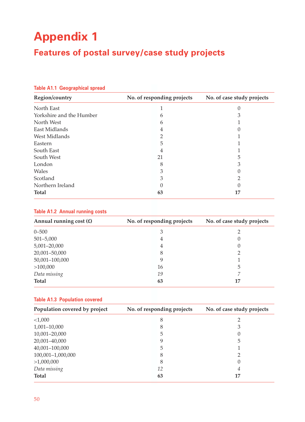## **Appendix 1 Features of postal survey/case study projects**

| Region/country           | No. of responding projects | No. of case study projects |  |  |  |  |  |
|--------------------------|----------------------------|----------------------------|--|--|--|--|--|
| North East               |                            |                            |  |  |  |  |  |
| Yorkshire and the Humber | 6                          |                            |  |  |  |  |  |
| North West               | h                          |                            |  |  |  |  |  |
| East Midlands            | 4                          |                            |  |  |  |  |  |
| West Midlands            |                            |                            |  |  |  |  |  |
| Eastern                  | 5                          |                            |  |  |  |  |  |
| South East               | 4                          |                            |  |  |  |  |  |
| South West               | 21                         | 5                          |  |  |  |  |  |
| London                   | 8                          |                            |  |  |  |  |  |
| Wales                    |                            |                            |  |  |  |  |  |
| Scotland                 |                            |                            |  |  |  |  |  |
| Northern Ireland         |                            |                            |  |  |  |  |  |
| <b>Total</b>             | 63                         | 17                         |  |  |  |  |  |

## **Table A1.1 Geographical spread**

### **Table A1.2 Annual running costs**

| Annual running cost $(E)$ | No. of responding projects | No. of case study projects |  |  |  |  |  |
|---------------------------|----------------------------|----------------------------|--|--|--|--|--|
| $0 - 500$                 | 3                          |                            |  |  |  |  |  |
| $501 - 5,000$             | 4                          |                            |  |  |  |  |  |
| 5,001-20,000              | 4                          |                            |  |  |  |  |  |
| 20,001-50,000             | 8                          |                            |  |  |  |  |  |
| 50,001-100,000            | 9                          |                            |  |  |  |  |  |
| >100,000                  | 16                         | 5                          |  |  |  |  |  |
| Data missing              | 19                         |                            |  |  |  |  |  |
| <b>Total</b>              | 63                         | 17                         |  |  |  |  |  |

### **Table A1.3 Population covered**

| Population covered by project | No. of responding projects |                  |
|-------------------------------|----------------------------|------------------|
| <1,000                        | 8                          | ∍                |
| $1,001 - 10,000$              | 8                          | 3                |
| 10,001-20,000                 | 5                          | 0                |
| 20,001-40,000                 | 9                          | 5                |
| 40,001-100,000                | 5                          |                  |
| 100,001-1,000,000             | 8                          |                  |
| >1,000,000                    | 8                          | $\left( \right)$ |
| Data missing                  | 12                         | 4                |
| <b>Total</b>                  | 63                         | 17               |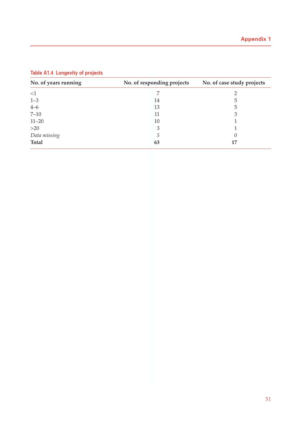| No. of years running<br>No. of responding projects |    | No. of case study projects |  |  |  |  |  |
|----------------------------------------------------|----|----------------------------|--|--|--|--|--|
| <1                                                 |    |                            |  |  |  |  |  |
| $1 - 3$                                            | 14 | 5                          |  |  |  |  |  |
| $4 - 6$                                            | 13 | 5                          |  |  |  |  |  |
| $7 - 10$                                           | 11 | 3                          |  |  |  |  |  |
| $11 - 20$                                          | 10 |                            |  |  |  |  |  |
| >20                                                | 3  |                            |  |  |  |  |  |
| Data missing                                       | 5  |                            |  |  |  |  |  |
| <b>Total</b>                                       | 63 | 17                         |  |  |  |  |  |

## **Table A1.4 Longevity of projects**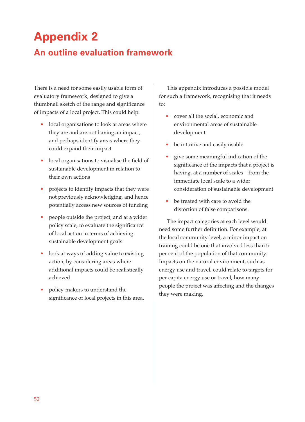## **Appendix 2**

## **An outline evaluation framework**

There is a need for some easily usable form of evaluatory framework, designed to give a thumbnail sketch of the range and significance of impacts of a local project. This could help:

- local organisations to look at areas where they are and are not having an impact, and perhaps identify areas where they could expand their impact
- local organisations to visualise the field of sustainable development in relation to their own actions
- projects to identify impacts that they were not previously acknowledging, and hence potentially access new sources of funding
- people outside the project, and at a wider policy scale, to evaluate the significance of local action in terms of achieving sustainable development goals
- look at ways of adding value to existing action, by considering areas where additional impacts could be realistically achieved
- policy-makers to understand the significance of local projects in this area.

This appendix introduces a possible model for such a framework, recognising that it needs to:

- cover all the social, economic and environmental areas of sustainable development
- be intuitive and easily usable
- give some meaningful indication of the significance of the impacts that a project is having, at a number of scales – from the immediate local scale to a wider consideration of sustainable development
- be treated with care to avoid the distortion of false comparisons.

The impact categories at each level would need some further definition. For example, at the local community level, a minor impact on training could be one that involved less than 5 per cent of the population of that community. Impacts on the natural environment, such as energy use and travel, could relate to targets for per capita energy use or travel, how many people the project was affecting and the changes they were making.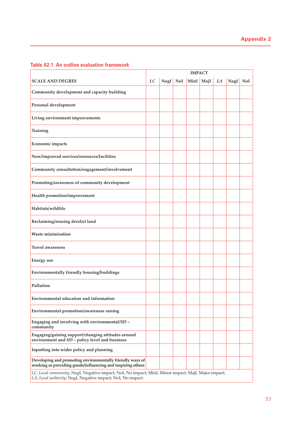|                                                                                                                                                                    | <b>IMPACT</b> |            |  |           |  |    |          |  |
|--------------------------------------------------------------------------------------------------------------------------------------------------------------------|---------------|------------|--|-----------|--|----|----------|--|
| <b>SCALE AND DEGREE</b>                                                                                                                                            | LC            | $NegI$ NoI |  | MinI MajI |  | LA | NegI NoI |  |
| Community development and capacity building                                                                                                                        |               |            |  |           |  |    |          |  |
| Personal development                                                                                                                                               |               |            |  |           |  |    |          |  |
| Living environment improvements                                                                                                                                    |               |            |  |           |  |    |          |  |
| Training                                                                                                                                                           |               |            |  |           |  |    |          |  |
| Economic impacts                                                                                                                                                   |               |            |  |           |  |    |          |  |
| New/improved services/resources/facilities                                                                                                                         |               |            |  |           |  |    |          |  |
| Community consultation/engagement/involvement                                                                                                                      |               |            |  |           |  |    |          |  |
| Promoting/awareness of community development                                                                                                                       |               |            |  |           |  |    |          |  |
| Health promotion/improvement                                                                                                                                       |               |            |  |           |  |    |          |  |
| Habitats/wildlife                                                                                                                                                  |               |            |  |           |  |    |          |  |
| Reclaiming/reusing derelict land                                                                                                                                   |               |            |  |           |  |    |          |  |
| <b>Waste minimisation</b>                                                                                                                                          |               |            |  |           |  |    |          |  |
| Travel awareness                                                                                                                                                   |               |            |  |           |  |    |          |  |
| <b>Energy</b> use                                                                                                                                                  |               |            |  |           |  |    |          |  |
| Environmentally friendly housing/buildings                                                                                                                         |               |            |  |           |  |    |          |  |
| Pollution                                                                                                                                                          |               |            |  |           |  |    |          |  |
| <b>Environmental education and information</b>                                                                                                                     |               |            |  |           |  |    |          |  |
| Environmental promotion/awareness raising                                                                                                                          |               |            |  |           |  |    |          |  |
| Engaging and involving with environmental/SD -<br>community                                                                                                        |               |            |  |           |  |    |          |  |
| Engaging/gaining support/changing attitudes around<br>environment and SD - policy level and business                                                               |               |            |  |           |  |    |          |  |
| Inputting into wider policy and planning                                                                                                                           |               |            |  |           |  |    |          |  |
| Developing and promoting environmentally friendly ways of<br>working or providing goods/influencing and inspiring others                                           |               |            |  |           |  |    |          |  |
| LC, Local community; NegI, Negative impact; NoI, No impact; MinI, Minor impact; MajI, Major impact;<br>LA, Local authority; NegI, Negative impact; NoI, No impact. |               |            |  |           |  |    |          |  |

## **Table A2.1 An outline evaluation framework**